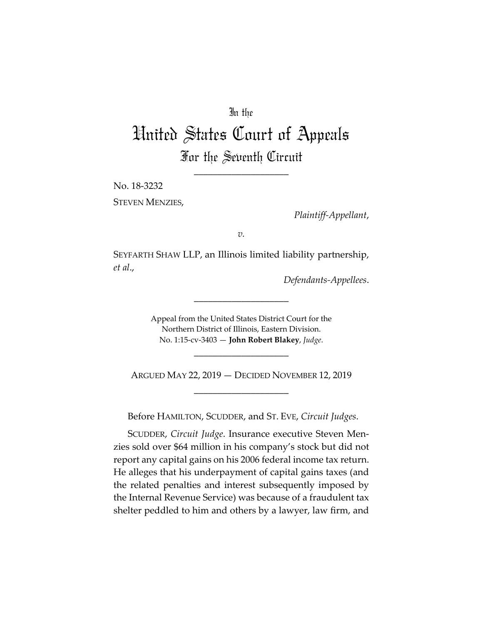## In the

# United States Court of Appeals For the Seventh Circuit

\_\_\_\_\_\_\_\_\_\_\_\_\_\_\_\_\_\_\_\_

No. 18-3232

STEVEN MENZIES,

*Plaintiff-Appellant*,

*v.*

SEYFARTH SHAW LLP, an Illinois limited liability partnership, *et al*.,

*Defendants-Appellees*.

Appeal from the United States District Court for the Northern District of Illinois, Eastern Division. No. 1:15-cv-3403 — **John Robert Blakey**, *Judge*.

\_\_\_\_\_\_\_\_\_\_\_\_\_\_\_\_\_\_\_\_

\_\_\_\_\_\_\_\_\_\_\_\_\_\_\_\_\_\_\_\_

ARGUED MAY 22, 2019 — DECIDED NOVEMBER 12, 2019 \_\_\_\_\_\_\_\_\_\_\_\_\_\_\_\_\_\_\_\_

Before HAMILTON, SCUDDER, and ST. EVE, *Circuit Judges*.

SCUDDER, *Circuit Judge*. Insurance executive Steven Menzies sold over \$64 million in his company's stock but did not report any capital gains on his 2006 federal income tax return. He alleges that his underpayment of capital gains taxes (and the related penalties and interest subsequently imposed by the Internal Revenue Service) was because of a fraudulent tax shelter peddled to him and others by a lawyer, law firm, and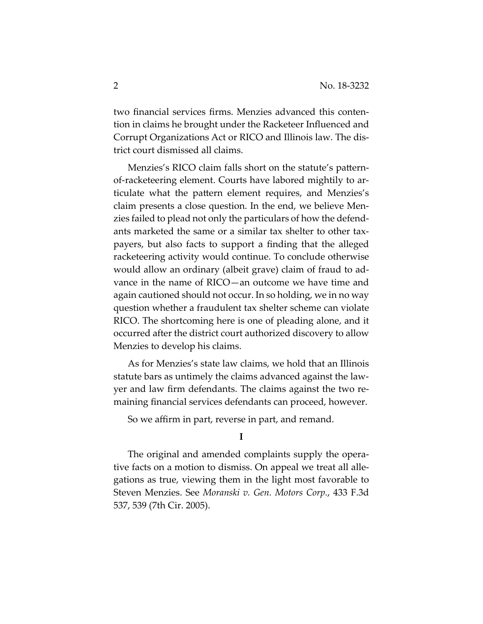two financial services firms. Menzies advanced this contention in claims he brought under the Racketeer Influenced and Corrupt Organizations Act or RICO and Illinois law. The district court dismissed all claims.

Menzies's RICO claim falls short on the statute's patternof-racketeering element. Courts have labored mightily to articulate what the pattern element requires, and Menzies's claim presents a close question. In the end, we believe Menzies failed to plead not only the particulars of how the defendants marketed the same or a similar tax shelter to other taxpayers, but also facts to support a finding that the alleged racketeering activity would continue. To conclude otherwise would allow an ordinary (albeit grave) claim of fraud to advance in the name of RICO—an outcome we have time and again cautioned should not occur. In so holding, we in no way question whether a fraudulent tax shelter scheme can violate RICO. The shortcoming here is one of pleading alone, and it occurred after the district court authorized discovery to allow Menzies to develop his claims.

As for Menzies's state law claims, we hold that an Illinois statute bars as untimely the claims advanced against the lawyer and law firm defendants. The claims against the two remaining financial services defendants can proceed, however.

So we affirm in part, reverse in part, and remand.

### **I**

The original and amended complaints supply the operative facts on a motion to dismiss. On appeal we treat all allegations as true, viewing them in the light most favorable to Steven Menzies. See *Moranski v. Gen. Motors Corp.*, 433 F.3d 537, 539 (7th Cir. 2005).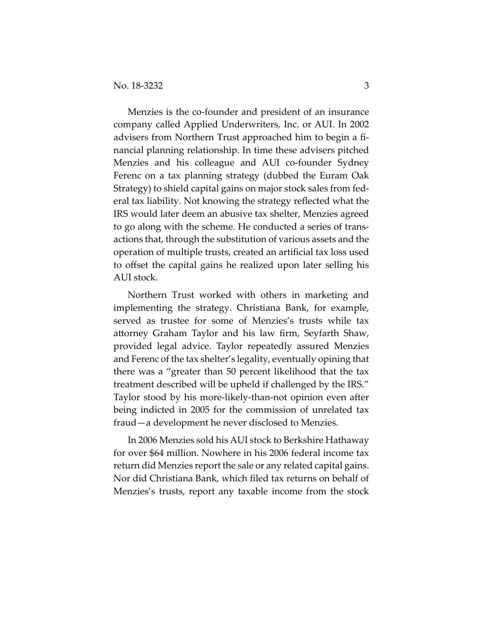Menzies is the co-founder and president of an insurance company called Applied Underwriters, Inc. or AUI. In 2002 advisers from Northern Trust approached him to begin a financial planning relationship. In time these advisers pitched Menzies and his colleague and AUI co-founder Sydney Ferenc on a tax planning strategy (dubbed the Euram Oak Strategy) to shield capital gains on major stock sales from federal tax liability. Not knowing the strategy reflected what the IRS would later deem an abusive tax shelter, Menzies agreed to go along with the scheme. He conducted a series of transactions that, through the substitution of various assets and the operation of multiple trusts, created an artificial tax loss used to offset the capital gains he realized upon later selling his AUI stock.

Northern Trust worked with others in marketing and implementing the strategy. Christiana Bank, for example, served as trustee for some of Menzies's trusts while tax attorney Graham Taylor and his law firm, Seyfarth Shaw, provided legal advice. Taylor repeatedly assured Menzies and Ferenc of the tax shelter's legality, eventually opining that there was a "greater than 50 percent likelihood that the tax treatment described will be upheld if challenged by the IRS." Taylor stood by his more-likely-than-not opinion even after being indicted in 2005 for the commission of unrelated tax fraud—a development he never disclosed to Menzies.

In 2006 Menzies sold his AUI stock to Berkshire Hathaway for over \$64 million. Nowhere in his 2006 federal income tax return did Menzies report the sale or any related capital gains. Nor did Christiana Bank, which filed tax returns on behalf of Menzies's trusts, report any taxable income from the stock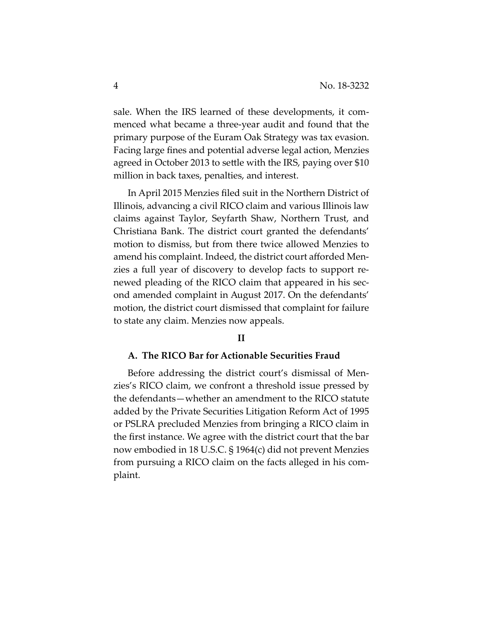sale. When the IRS learned of these developments, it commenced what became a three-year audit and found that the primary purpose of the Euram Oak Strategy was tax evasion. Facing large fines and potential adverse legal action, Menzies agreed in October 2013 to settle with the IRS, paying over \$10 million in back taxes, penalties, and interest.

In April 2015 Menzies filed suit in the Northern District of Illinois, advancing a civil RICO claim and various Illinois law claims against Taylor, Seyfarth Shaw, Northern Trust, and Christiana Bank. The district court granted the defendants' motion to dismiss, but from there twice allowed Menzies to amend his complaint. Indeed, the district court afforded Menzies a full year of discovery to develop facts to support renewed pleading of the RICO claim that appeared in his second amended complaint in August 2017. On the defendants' motion, the district court dismissed that complaint for failure to state any claim. Menzies now appeals.

#### **II**

#### **A. The RICO Bar for Actionable Securities Fraud**

Before addressing the district court's dismissal of Menzies's RICO claim, we confront a threshold issue pressed by the defendants—whether an amendment to the RICO statute added by the Private Securities Litigation Reform Act of 1995 or PSLRA precluded Menzies from bringing a RICO claim in the first instance. We agree with the district court that the bar now embodied in 18 U.S.C. § 1964(c) did not prevent Menzies from pursuing a RICO claim on the facts alleged in his complaint.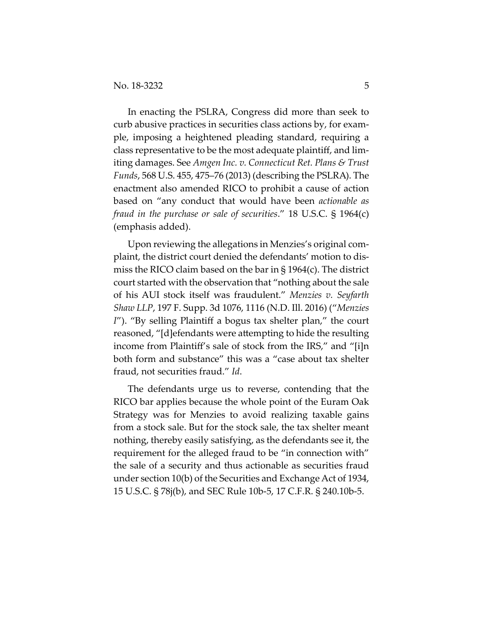In enacting the PSLRA, Congress did more than seek to curb abusive practices in securities class actions by, for example, imposing a heightened pleading standard, requiring a class representative to be the most adequate plaintiff, and limiting damages. See *Amgen Inc. v. Connecticut Ret. Plans & Trust Funds*, 568 U.S. 455, 475–76 (2013) (describing the PSLRA). The enactment also amended RICO to prohibit a cause of action based on "any conduct that would have been *actionable as fraud in the purchase or sale of securities*." 18 U.S.C. § 1964(c) (emphasis added).

Upon reviewing the allegations in Menzies's original complaint, the district court denied the defendants' motion to dismiss the RICO claim based on the bar in § 1964(c). The district court started with the observation that "nothing about the sale of his AUI stock itself was fraudulent." *Menzies v. Seyfarth Shaw LLP*, 197 F. Supp. 3d 1076, 1116 (N.D. Ill. 2016) ("*Menzies I*"). "By selling Plaintiff a bogus tax shelter plan," the court reasoned, "[d]efendants were attempting to hide the resulting income from Plaintiff's sale of stock from the IRS," and "[i]n both form and substance" this was a "case about tax shelter fraud, not securities fraud." *Id*.

The defendants urge us to reverse, contending that the RICO bar applies because the whole point of the Euram Oak Strategy was for Menzies to avoid realizing taxable gains from a stock sale. But for the stock sale, the tax shelter meant nothing, thereby easily satisfying, as the defendants see it, the requirement for the alleged fraud to be "in connection with" the sale of a security and thus actionable as securities fraud under section 10(b) of the Securities and Exchange Act of 1934, 15 U.S.C. § 78j(b), and SEC Rule 10b-5, 17 C.F.R. § 240.10b-5.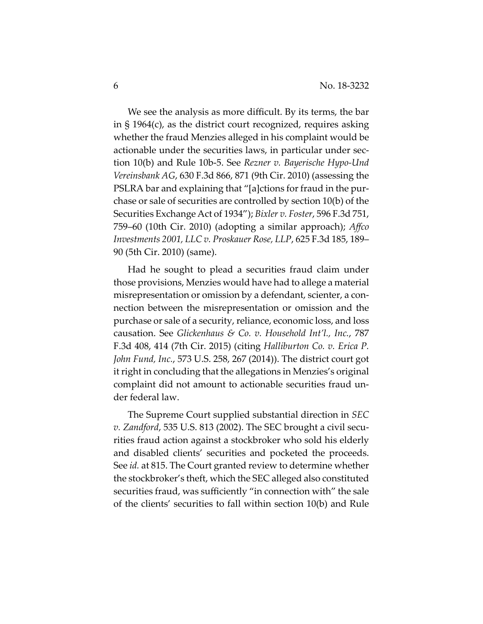We see the analysis as more difficult. By its terms, the bar in § 1964(c), as the district court recognized, requires asking whether the fraud Menzies alleged in his complaint would be actionable under the securities laws, in particular under section 10(b) and Rule 10b-5. See *Rezner v. Bayerische Hypo-Und Vereinsbank AG*, 630 F.3d 866, 871 (9th Cir. 2010) (assessing the PSLRA bar and explaining that "[a]ctions for fraud in the purchase or sale of securities are controlled by section 10(b) of the Securities Exchange Act of 1934"); *Bixler v. Foster*, 596 F.3d 751, 759–60 (10th Cir. 2010) (adopting a similar approach); *Affco Investments 2001, LLC v. Proskauer Rose, LLP*, 625 F.3d 185, 189– 90 (5th Cir. 2010) (same).

Had he sought to plead a securities fraud claim under those provisions, Menzies would have had to allege a material misrepresentation or omission by a defendant, scienter, a connection between the misrepresentation or omission and the purchase or sale of a security, reliance, economic loss, and loss causation. See *Glickenhaus & Co. v. Household Int'l., Inc.*, 787 F.3d 408, 414 (7th Cir. 2015) (citing *Halliburton Co. v. Erica P. John Fund, Inc.*, 573 U.S. 258, 267 (2014)). The district court got it right in concluding that the allegations in Menzies's original complaint did not amount to actionable securities fraud under federal law.

The Supreme Court supplied substantial direction in *SEC v. Zandford*, 535 U.S. 813 (2002). The SEC brought a civil securities fraud action against a stockbroker who sold his elderly and disabled clients' securities and pocketed the proceeds. See *id.* at 815. The Court granted review to determine whether the stockbroker's theft, which the SEC alleged also constituted securities fraud, was sufficiently "in connection with" the sale of the clients' securities to fall within section 10(b) and Rule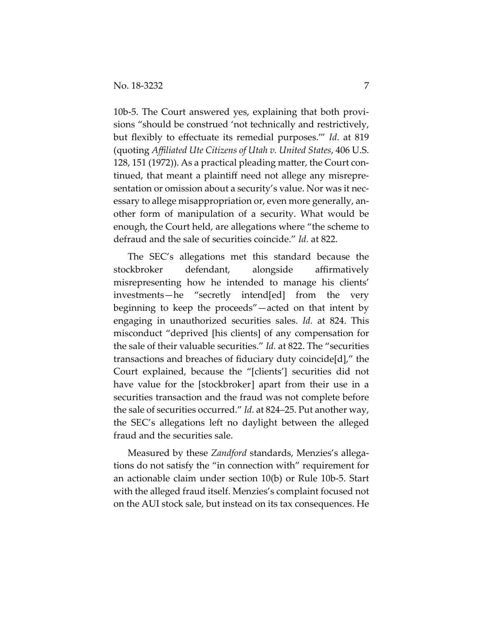10b-5. The Court answered yes, explaining that both provisions "should be construed 'not technically and restrictively, but flexibly to effectuate its remedial purposes.'" *Id*. at 819 (quoting *Affiliated Ute Citizens of Utah v. United States*, 406 U.S. 128, 151 (1972)). As a practical pleading matter, the Court continued, that meant a plaintiff need not allege any misrepresentation or omission about a security's value. Nor was it necessary to allege misappropriation or, even more generally, another form of manipulation of a security. What would be enough, the Court held, are allegations where "the scheme to defraud and the sale of securities coincide." *Id.* at 822.

The SEC's allegations met this standard because the stockbroker defendant, alongside affirmatively misrepresenting how he intended to manage his clients' investments—he "secretly intend[ed] from the very beginning to keep the proceeds"—acted on that intent by engaging in unauthorized securities sales. *Id.* at 824. This misconduct "deprived [his clients] of any compensation for the sale of their valuable securities." *Id.* at 822. The "securities transactions and breaches of fiduciary duty coincide[d]," the Court explained, because the "[clients'] securities did not have value for the [stockbroker] apart from their use in a securities transaction and the fraud was not complete before the sale of securities occurred." *Id.* at 824–25. Put another way, the SEC's allegations left no daylight between the alleged fraud and the securities sale.

Measured by these *Zandford* standards, Menzies's allegations do not satisfy the "in connection with" requirement for an actionable claim under section 10(b) or Rule 10b-5. Start with the alleged fraud itself. Menzies's complaint focused not on the AUI stock sale, but instead on its tax consequences. He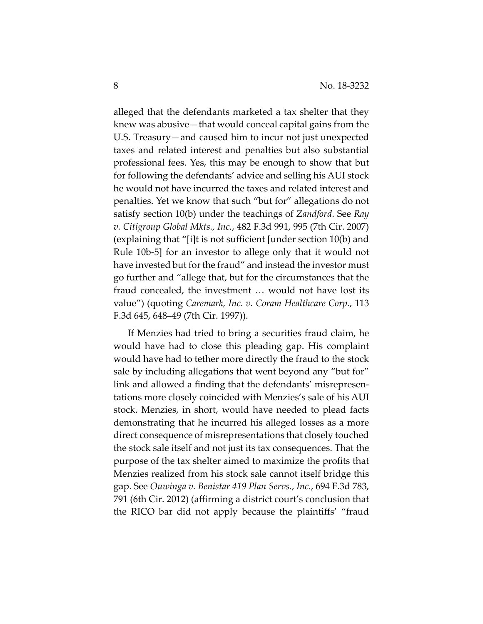alleged that the defendants marketed a tax shelter that they knew was abusive—that would conceal capital gains from the U.S. Treasury—and caused him to incur not just unexpected taxes and related interest and penalties but also substantial professional fees. Yes, this may be enough to show that but for following the defendants' advice and selling his AUI stock he would not have incurred the taxes and related interest and penalties. Yet we know that such "but for" allegations do not satisfy section 10(b) under the teachings of *Zandford*. See *Ray v. Citigroup Global Mkts., Inc.*, 482 F.3d 991, 995 (7th Cir. 2007) (explaining that "[i]t is not sufficient [under section 10(b) and Rule 10b-5] for an investor to allege only that it would not have invested but for the fraud" and instead the investor must go further and "allege that, but for the circumstances that the fraud concealed, the investment … would not have lost its value") (quoting *Caremark, Inc. v. Coram Healthcare Corp.*, 113 F.3d 645, 648–49 (7th Cir. 1997)).

If Menzies had tried to bring a securities fraud claim, he would have had to close this pleading gap. His complaint would have had to tether more directly the fraud to the stock sale by including allegations that went beyond any "but for" link and allowed a finding that the defendants' misrepresentations more closely coincided with Menzies's sale of his AUI stock. Menzies, in short, would have needed to plead facts demonstrating that he incurred his alleged losses as a more direct consequence of misrepresentations that closely touched the stock sale itself and not just its tax consequences. That the purpose of the tax shelter aimed to maximize the profits that Menzies realized from his stock sale cannot itself bridge this gap. See *Ouwinga v. Benistar 419 Plan Servs.*, *Inc.*, 694 F.3d 783, 791 (6th Cir. 2012) (affirming a district court's conclusion that the RICO bar did not apply because the plaintiffs' "fraud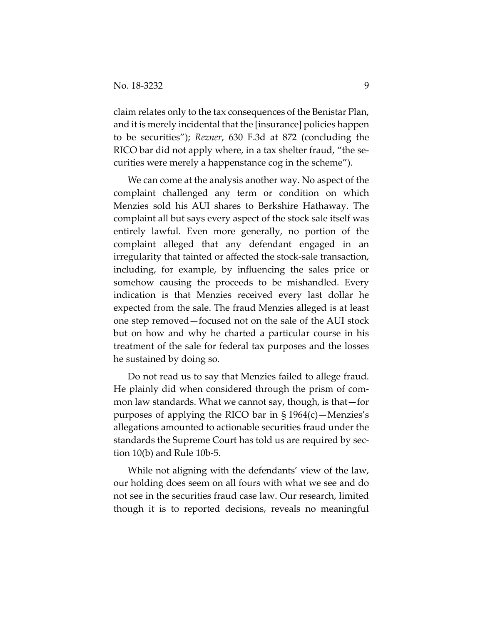claim relates only to the tax consequences of the Benistar Plan, and it is merely incidental that the [insurance] policies happen to be securities"); *Rezner*, 630 F.3d at 872 (concluding the RICO bar did not apply where, in a tax shelter fraud, "the securities were merely a happenstance cog in the scheme").

We can come at the analysis another way. No aspect of the complaint challenged any term or condition on which Menzies sold his AUI shares to Berkshire Hathaway. The complaint all but says every aspect of the stock sale itself was entirely lawful. Even more generally, no portion of the complaint alleged that any defendant engaged in an irregularity that tainted or affected the stock-sale transaction, including, for example, by influencing the sales price or somehow causing the proceeds to be mishandled. Every indication is that Menzies received every last dollar he expected from the sale. The fraud Menzies alleged is at least one step removed—focused not on the sale of the AUI stock but on how and why he charted a particular course in his treatment of the sale for federal tax purposes and the losses he sustained by doing so.

Do not read us to say that Menzies failed to allege fraud. He plainly did when considered through the prism of common law standards. What we cannot say, though, is that—for purposes of applying the RICO bar in  $\S 1964(c)$ —Menzies's allegations amounted to actionable securities fraud under the standards the Supreme Court has told us are required by section 10(b) and Rule 10b-5.

While not aligning with the defendants' view of the law, our holding does seem on all fours with what we see and do not see in the securities fraud case law. Our research, limited though it is to reported decisions, reveals no meaningful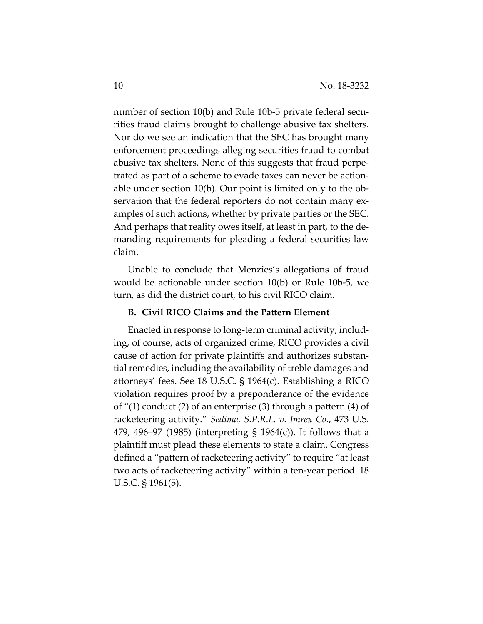number of section 10(b) and Rule 10b-5 private federal securities fraud claims brought to challenge abusive tax shelters. Nor do we see an indication that the SEC has brought many enforcement proceedings alleging securities fraud to combat abusive tax shelters. None of this suggests that fraud perpetrated as part of a scheme to evade taxes can never be actionable under section 10(b). Our point is limited only to the observation that the federal reporters do not contain many examples of such actions, whether by private parties or the SEC. And perhaps that reality owes itself, at least in part, to the demanding requirements for pleading a federal securities law claim.

Unable to conclude that Menzies's allegations of fraud would be actionable under section 10(b) or Rule 10b-5, we turn, as did the district court, to his civil RICO claim.

### **B. Civil RICO Claims and the Pattern Element**

Enacted in response to long-term criminal activity, including, of course, acts of organized crime, RICO provides a civil cause of action for private plaintiffs and authorizes substantial remedies, including the availability of treble damages and attorneys' fees. See 18 U.S.C. § 1964(c). Establishing a RICO violation requires proof by a preponderance of the evidence of "(1) conduct (2) of an enterprise (3) through a pattern (4) of racketeering activity." *Sedima, S.P.R.L. v. Imrex Co.*, 473 U.S. 479, 496–97 (1985) (interpreting § 1964(c)). It follows that a plaintiff must plead these elements to state a claim. Congress defined a "pattern of racketeering activity" to require "at least two acts of racketeering activity" within a ten-year period. 18 U.S.C. § 1961(5).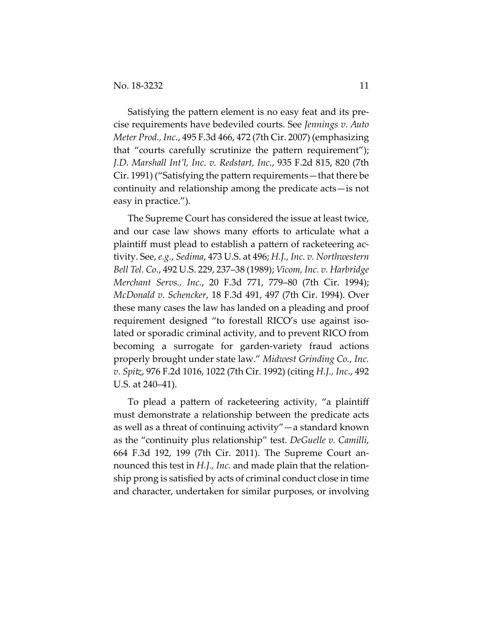Satisfying the pattern element is no easy feat and its precise requirements have bedeviled courts. See *Jennings v. Auto Meter Prod., Inc.*, 495 F.3d 466, 472 (7th Cir. 2007) (emphasizing that "courts carefully scrutinize the pattern requirement"); *J.D. Marshall Int'l, Inc. v. Redstart, Inc.*, 935 F.2d 815, 820 (7th Cir. 1991) ("Satisfying the pattern requirements—that there be continuity and relationship among the predicate acts—is not easy in practice.").

The Supreme Court has considered the issue at least twice, and our case law shows many efforts to articulate what a plaintiff must plead to establish a pattern of racketeering activity. See, *e.g.*, *Sedima*, 473 U.S. at 496; *H.J., Inc. v. Northwestern Bell Tel. Co.*, 492 U.S. 229, 237–38 (1989); *Vicom, Inc. v. Harbridge Merchant Servs., Inc.*, 20 F.3d 771, 779–80 (7th Cir. 1994); *McDonald v. Schencker*, 18 F.3d 491, 497 (7th Cir. 1994). Over these many cases the law has landed on a pleading and proof requirement designed "to forestall RICO's use against isolated or sporadic criminal activity, and to prevent RICO from becoming a surrogate for garden-variety fraud actions properly brought under state law." *Midwest Grinding Co., Inc. v. Spitz*, 976 F.2d 1016, 1022 (7th Cir. 1992) (citing *H.J., Inc.*, 492 U.S. at 240–41).

To plead a pattern of racketeering activity, "a plaintiff must demonstrate a relationship between the predicate acts as well as a threat of continuing activity"—a standard known as the "continuity plus relationship" test. *DeGuelle v. Camilli*, 664 F.3d 192, 199 (7th Cir. 2011). The Supreme Court announced this test in *H.J., Inc.* and made plain that the relationship prong is satisfied by acts of criminal conduct close in time and character, undertaken for similar purposes, or involving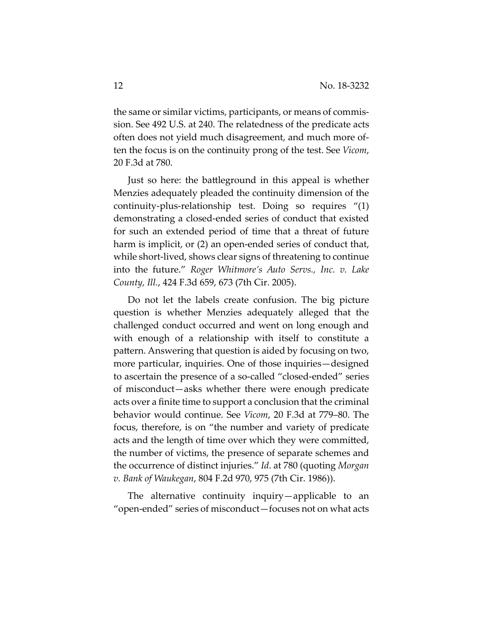the same or similar victims, participants, or means of commission. See 492 U.S. at 240. The relatedness of the predicate acts often does not yield much disagreement, and much more often the focus is on the continuity prong of the test. See *Vicom*, 20 F.3d at 780.

Just so here: the battleground in this appeal is whether Menzies adequately pleaded the continuity dimension of the continuity-plus-relationship test. Doing so requires "(1) demonstrating a closed-ended series of conduct that existed for such an extended period of time that a threat of future harm is implicit, or (2) an open-ended series of conduct that, while short-lived, shows clear signs of threatening to continue into the future." *Roger Whitmore's Auto Servs., Inc. v. Lake County, Ill.*, 424 F.3d 659, 673 (7th Cir. 2005).

Do not let the labels create confusion. The big picture question is whether Menzies adequately alleged that the challenged conduct occurred and went on long enough and with enough of a relationship with itself to constitute a pattern. Answering that question is aided by focusing on two, more particular, inquiries. One of those inquiries—designed to ascertain the presence of a so-called "closed-ended" series of misconduct—asks whether there were enough predicate acts over a finite time to support a conclusion that the criminal behavior would continue. See *Vicom*, 20 F.3d at 779–80. The focus, therefore, is on "the number and variety of predicate acts and the length of time over which they were committed, the number of victims, the presence of separate schemes and the occurrence of distinct injuries." *Id*. at 780 (quoting *Morgan v. Bank of Waukegan*, 804 F.2d 970, 975 (7th Cir. 1986)).

The alternative continuity inquiry—applicable to an "open-ended" series of misconduct—focuses not on what acts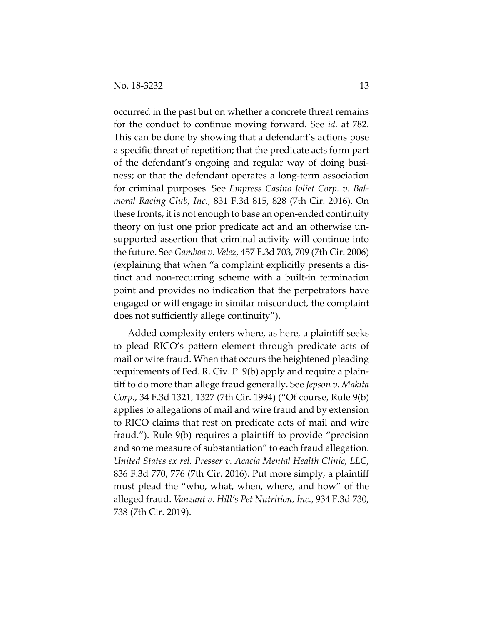occurred in the past but on whether a concrete threat remains for the conduct to continue moving forward. See *id.* at 782. This can be done by showing that a defendant's actions pose a specific threat of repetition; that the predicate acts form part of the defendant's ongoing and regular way of doing business; or that the defendant operates a long-term association for criminal purposes. See *Empress Casino Joliet Corp. v. Balmoral Racing Club, Inc.*, 831 F.3d 815, 828 (7th Cir. 2016). On these fronts, it is not enough to base an open-ended continuity theory on just one prior predicate act and an otherwise unsupported assertion that criminal activity will continue into the future. See *Gamboa v. Velez*, 457 F.3d 703, 709 (7th Cir. 2006) (explaining that when "a complaint explicitly presents a distinct and non-recurring scheme with a built-in termination point and provides no indication that the perpetrators have engaged or will engage in similar misconduct, the complaint does not sufficiently allege continuity").

Added complexity enters where, as here, a plaintiff seeks to plead RICO's pattern element through predicate acts of mail or wire fraud. When that occurs the heightened pleading requirements of Fed. R. Civ. P. 9(b) apply and require a plaintiff to do more than allege fraud generally. See *Jepson v. Makita Corp.*, 34 F.3d 1321, 1327 (7th Cir. 1994) ("Of course, Rule 9(b) applies to allegations of mail and wire fraud and by extension to RICO claims that rest on predicate acts of mail and wire fraud."). Rule 9(b) requires a plaintiff to provide "precision and some measure of substantiation" to each fraud allegation. *United States ex rel. Presser v. Acacia Mental Health Clinic, LLC*, 836 F.3d 770, 776 (7th Cir. 2016). Put more simply, a plaintiff must plead the "who, what, when, where, and how" of the alleged fraud. *Vanzant v. Hill's Pet Nutrition, Inc.*, 934 F.3d 730, 738 (7th Cir. 2019).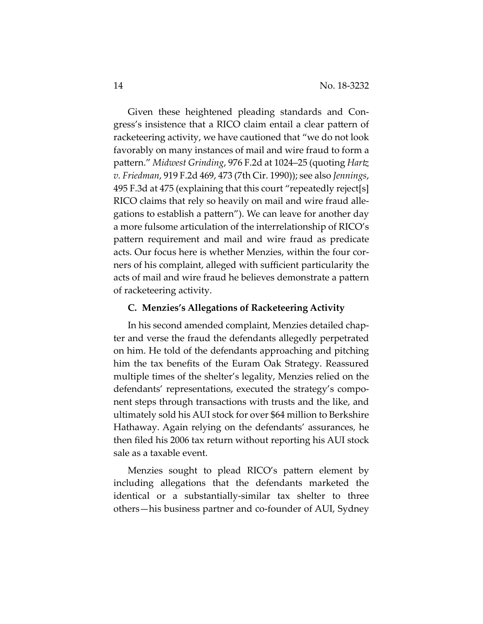Given these heightened pleading standards and Congress's insistence that a RICO claim entail a clear pattern of racketeering activity, we have cautioned that "we do not look favorably on many instances of mail and wire fraud to form a pattern." *Midwest Grinding*, 976 F.2d at 1024–25 (quoting *Hartz v. Friedman*, 919 F.2d 469, 473 (7th Cir. 1990)); see also *Jennings*, 495 F.3d at 475 (explaining that this court "repeatedly reject[s] RICO claims that rely so heavily on mail and wire fraud allegations to establish a pattern"). We can leave for another day a more fulsome articulation of the interrelationship of RICO's pattern requirement and mail and wire fraud as predicate acts. Our focus here is whether Menzies, within the four corners of his complaint, alleged with sufficient particularity the acts of mail and wire fraud he believes demonstrate a pattern of racketeering activity.

#### **C. Menzies's Allegations of Racketeering Activity**

In his second amended complaint, Menzies detailed chapter and verse the fraud the defendants allegedly perpetrated on him. He told of the defendants approaching and pitching him the tax benefits of the Euram Oak Strategy. Reassured multiple times of the shelter's legality, Menzies relied on the defendants' representations, executed the strategy's component steps through transactions with trusts and the like, and ultimately sold his AUI stock for over \$64 million to Berkshire Hathaway. Again relying on the defendants' assurances, he then filed his 2006 tax return without reporting his AUI stock sale as a taxable event.

Menzies sought to plead RICO's pattern element by including allegations that the defendants marketed the identical or a substantially-similar tax shelter to three others—his business partner and co-founder of AUI, Sydney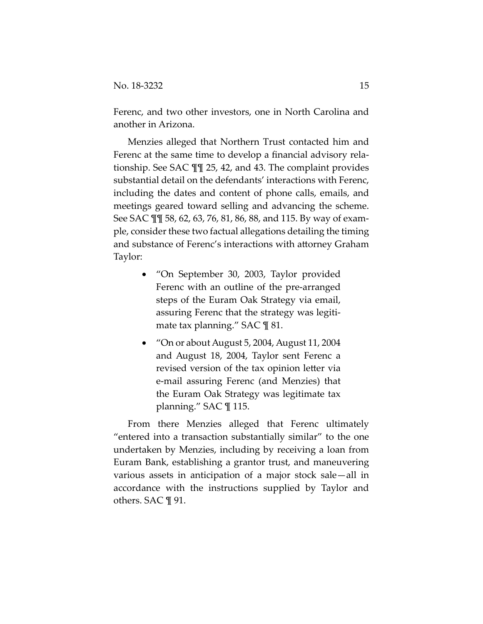Ferenc, and two other investors, one in North Carolina and another in Arizona.

Menzies alleged that Northern Trust contacted him and Ferenc at the same time to develop a financial advisory relationship. See SAC ¶¶ 25, 42, and 43. The complaint provides substantial detail on the defendants' interactions with Ferenc, including the dates and content of phone calls, emails, and meetings geared toward selling and advancing the scheme. See SAC ¶¶ 58, 62, 63, 76, 81, 86, 88, and 115. By way of example, consider these two factual allegations detailing the timing and substance of Ferenc's interactions with attorney Graham Taylor:

- "On September 30, 2003, Taylor provided Ferenc with an outline of the pre-arranged steps of the Euram Oak Strategy via email, assuring Ferenc that the strategy was legitimate tax planning." SAC ¶ 81.
- "On or about August 5, 2004, August 11, 2004 and August 18, 2004, Taylor sent Ferenc a revised version of the tax opinion letter via e-mail assuring Ferenc (and Menzies) that the Euram Oak Strategy was legitimate tax planning." SAC ¶ 115.

From there Menzies alleged that Ferenc ultimately "entered into a transaction substantially similar" to the one undertaken by Menzies, including by receiving a loan from Euram Bank, establishing a grantor trust, and maneuvering various assets in anticipation of a major stock sale—all in accordance with the instructions supplied by Taylor and others. SAC ¶ 91.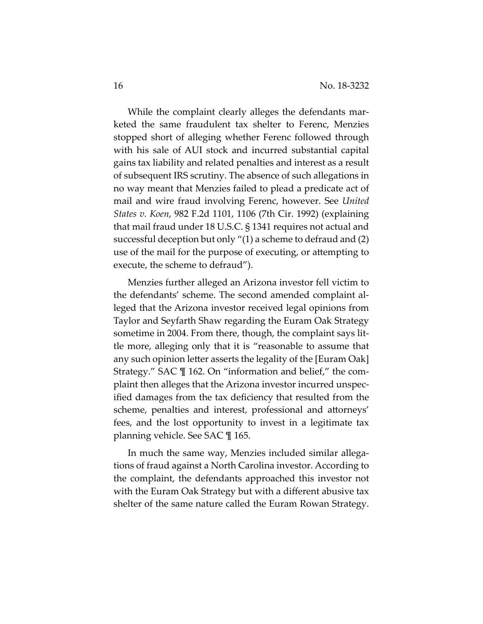While the complaint clearly alleges the defendants marketed the same fraudulent tax shelter to Ferenc, Menzies stopped short of alleging whether Ferenc followed through with his sale of AUI stock and incurred substantial capital gains tax liability and related penalties and interest as a result of subsequent IRS scrutiny. The absence of such allegations in no way meant that Menzies failed to plead a predicate act of mail and wire fraud involving Ferenc, however. See *United States v. Koen*, 982 F.2d 1101, 1106 (7th Cir. 1992) (explaining that mail fraud under 18 U.S.C. § 1341 requires not actual and successful deception but only "(1) a scheme to defraud and (2) use of the mail for the purpose of executing, or attempting to execute, the scheme to defraud").

Menzies further alleged an Arizona investor fell victim to the defendants' scheme. The second amended complaint alleged that the Arizona investor received legal opinions from Taylor and Seyfarth Shaw regarding the Euram Oak Strategy sometime in 2004. From there, though, the complaint says little more, alleging only that it is "reasonable to assume that any such opinion letter asserts the legality of the [Euram Oak] Strategy." SAC ¶ 162. On "information and belief," the complaint then alleges that the Arizona investor incurred unspecified damages from the tax deficiency that resulted from the scheme, penalties and interest, professional and attorneys' fees, and the lost opportunity to invest in a legitimate tax planning vehicle. See SAC ¶ 165.

In much the same way, Menzies included similar allegations of fraud against a North Carolina investor. According to the complaint, the defendants approached this investor not with the Euram Oak Strategy but with a different abusive tax shelter of the same nature called the Euram Rowan Strategy.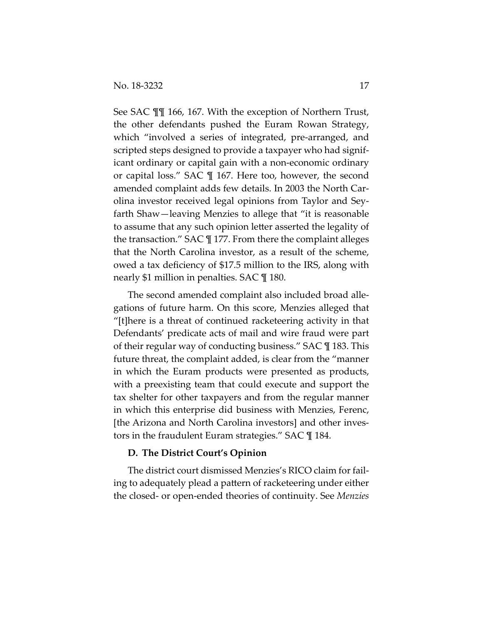See SAC ¶¶ 166, 167. With the exception of Northern Trust, the other defendants pushed the Euram Rowan Strategy, which "involved a series of integrated, pre-arranged, and scripted steps designed to provide a taxpayer who had significant ordinary or capital gain with a non-economic ordinary or capital loss." SAC ¶ 167. Here too, however, the second amended complaint adds few details. In 2003 the North Carolina investor received legal opinions from Taylor and Seyfarth Shaw—leaving Menzies to allege that "it is reasonable to assume that any such opinion letter asserted the legality of the transaction." SAC ¶ 177. From there the complaint alleges that the North Carolina investor, as a result of the scheme, owed a tax deficiency of \$17.5 million to the IRS, along with nearly \$1 million in penalties. SAC ¶ 180.

The second amended complaint also included broad allegations of future harm. On this score, Menzies alleged that "[t]here is a threat of continued racketeering activity in that Defendants' predicate acts of mail and wire fraud were part of their regular way of conducting business." SAC ¶ 183. This future threat, the complaint added, is clear from the "manner in which the Euram products were presented as products, with a preexisting team that could execute and support the tax shelter for other taxpayers and from the regular manner in which this enterprise did business with Menzies, Ferenc, [the Arizona and North Carolina investors] and other investors in the fraudulent Euram strategies." SAC ¶ 184.

#### **D. The District Court's Opinion**

The district court dismissed Menzies's RICO claim for failing to adequately plead a pattern of racketeering under either the closed- or open-ended theories of continuity. See *Menzies*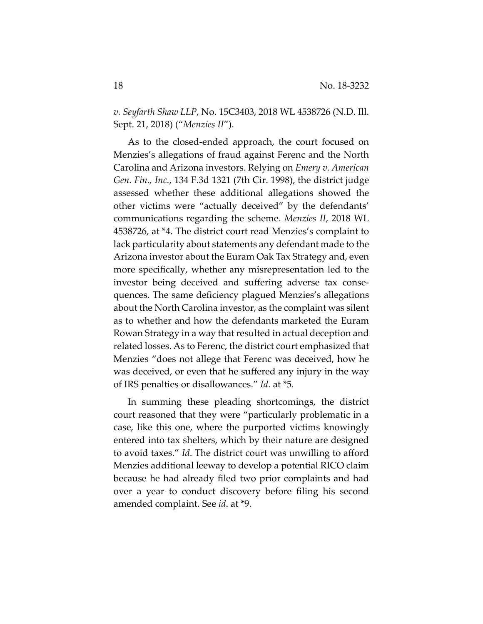*v. Seyfarth Shaw LLP*, No. 15C3403, 2018 WL 4538726 (N.D. Ill. Sept. 21, 2018) ("*Menzies II*").

As to the closed-ended approach, the court focused on Menzies's allegations of fraud against Ferenc and the North Carolina and Arizona investors. Relying on *Emery v. American Gen. Fin., Inc.*, 134 F.3d 1321 (7th Cir. 1998), the district judge assessed whether these additional allegations showed the other victims were "actually deceived" by the defendants' communications regarding the scheme. *Menzies II*, 2018 WL 4538726, at \*4. The district court read Menzies's complaint to lack particularity about statements any defendant made to the Arizona investor about the Euram Oak Tax Strategy and, even more specifically, whether any misrepresentation led to the investor being deceived and suffering adverse tax consequences. The same deficiency plagued Menzies's allegations about the North Carolina investor, as the complaint was silent as to whether and how the defendants marketed the Euram Rowan Strategy in a way that resulted in actual deception and related losses. As to Ferenc, the district court emphasized that Menzies "does not allege that Ferenc was deceived, how he was deceived, or even that he suffered any injury in the way of IRS penalties or disallowances." *Id*. at \*5.

In summing these pleading shortcomings, the district court reasoned that they were "particularly problematic in a case, like this one, where the purported victims knowingly entered into tax shelters, which by their nature are designed to avoid taxes." *Id*. The district court was unwilling to afford Menzies additional leeway to develop a potential RICO claim because he had already filed two prior complaints and had over a year to conduct discovery before filing his second amended complaint. See *id*. at \*9.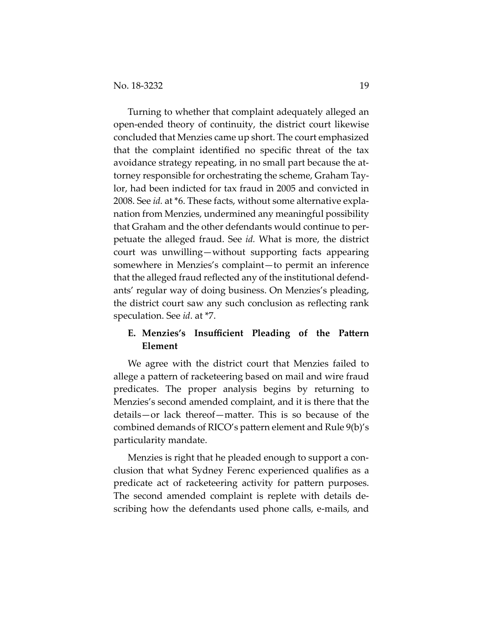Turning to whether that complaint adequately alleged an open-ended theory of continuity, the district court likewise concluded that Menzies came up short. The court emphasized that the complaint identified no specific threat of the tax avoidance strategy repeating, in no small part because the attorney responsible for orchestrating the scheme, Graham Taylor, had been indicted for tax fraud in 2005 and convicted in 2008. See *id.* at \*6. These facts, without some alternative explanation from Menzies, undermined any meaningful possibility that Graham and the other defendants would continue to perpetuate the alleged fraud. See *id.* What is more, the district court was unwilling—without supporting facts appearing somewhere in Menzies's complaint—to permit an inference that the alleged fraud reflected any of the institutional defendants' regular way of doing business. On Menzies's pleading, the district court saw any such conclusion as reflecting rank speculation. See *id*. at \*7.

## **E. Menzies's Insufficient Pleading of the Pattern Element**

We agree with the district court that Menzies failed to allege a pattern of racketeering based on mail and wire fraud predicates. The proper analysis begins by returning to Menzies's second amended complaint, and it is there that the details—or lack thereof—matter. This is so because of the combined demands of RICO's pattern element and Rule 9(b)'s particularity mandate.

Menzies is right that he pleaded enough to support a conclusion that what Sydney Ferenc experienced qualifies as a predicate act of racketeering activity for pattern purposes. The second amended complaint is replete with details describing how the defendants used phone calls, e-mails, and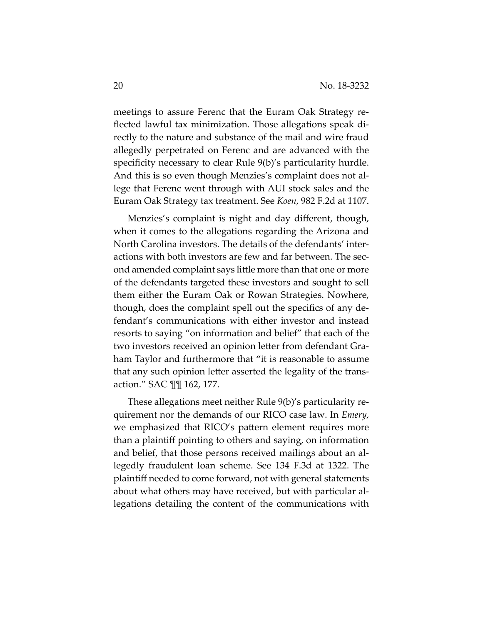meetings to assure Ferenc that the Euram Oak Strategy reflected lawful tax minimization. Those allegations speak directly to the nature and substance of the mail and wire fraud allegedly perpetrated on Ferenc and are advanced with the specificity necessary to clear Rule 9(b)'s particularity hurdle. And this is so even though Menzies's complaint does not allege that Ferenc went through with AUI stock sales and the Euram Oak Strategy tax treatment. See *Koen*, 982 F.2d at 1107.

Menzies's complaint is night and day different, though, when it comes to the allegations regarding the Arizona and North Carolina investors. The details of the defendants' interactions with both investors are few and far between. The second amended complaint says little more than that one or more of the defendants targeted these investors and sought to sell them either the Euram Oak or Rowan Strategies. Nowhere, though, does the complaint spell out the specifics of any defendant's communications with either investor and instead resorts to saying "on information and belief" that each of the two investors received an opinion letter from defendant Graham Taylor and furthermore that "it is reasonable to assume that any such opinion letter asserted the legality of the transaction." SAC ¶¶ 162, 177.

These allegations meet neither Rule 9(b)'s particularity requirement nor the demands of our RICO case law. In *Emery,* we emphasized that RICO's pattern element requires more than a plaintiff pointing to others and saying, on information and belief, that those persons received mailings about an allegedly fraudulent loan scheme. See 134 F.3d at 1322. The plaintiff needed to come forward, not with general statements about what others may have received, but with particular allegations detailing the content of the communications with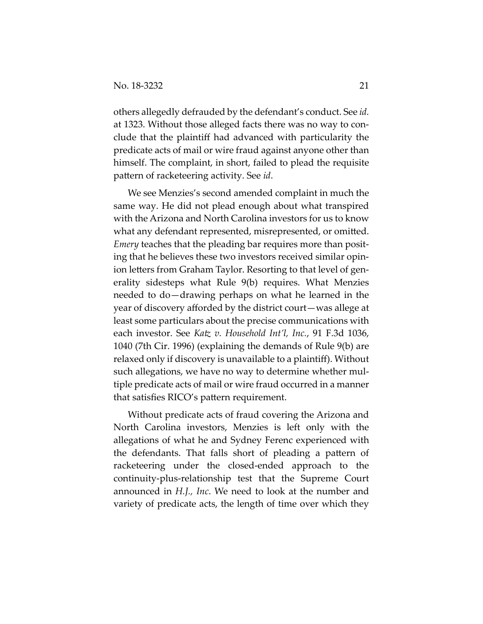others allegedly defrauded by the defendant's conduct. See *id.* at 1323. Without those alleged facts there was no way to conclude that the plaintiff had advanced with particularity the predicate acts of mail or wire fraud against anyone other than himself. The complaint, in short, failed to plead the requisite pattern of racketeering activity. See *id*.

We see Menzies's second amended complaint in much the same way. He did not plead enough about what transpired with the Arizona and North Carolina investors for us to know what any defendant represented, misrepresented, or omitted. *Emery* teaches that the pleading bar requires more than positing that he believes these two investors received similar opinion letters from Graham Taylor. Resorting to that level of generality sidesteps what Rule 9(b) requires. What Menzies needed to do—drawing perhaps on what he learned in the year of discovery afforded by the district court—was allege at least some particulars about the precise communications with each investor. See *Katz v. Household Int'l, Inc.*, 91 F.3d 1036, 1040 (7th Cir. 1996) (explaining the demands of Rule 9(b) are relaxed only if discovery is unavailable to a plaintiff). Without such allegations, we have no way to determine whether multiple predicate acts of mail or wire fraud occurred in a manner that satisfies RICO's pattern requirement.

Without predicate acts of fraud covering the Arizona and North Carolina investors, Menzies is left only with the allegations of what he and Sydney Ferenc experienced with the defendants. That falls short of pleading a pattern of racketeering under the closed-ended approach to the continuity-plus-relationship test that the Supreme Court announced in *H.J., Inc*. We need to look at the number and variety of predicate acts, the length of time over which they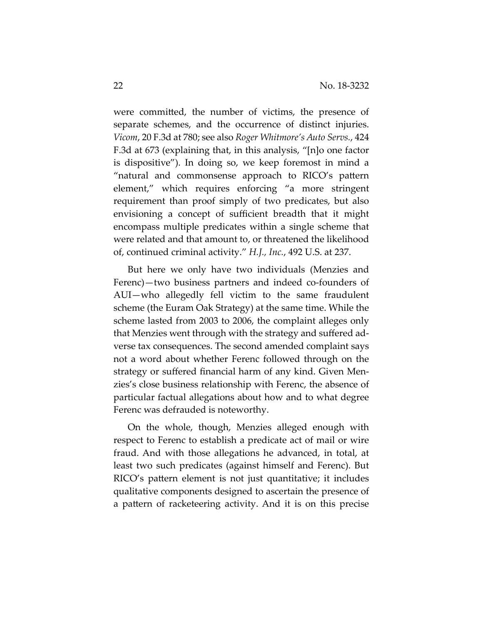were committed, the number of victims, the presence of separate schemes, and the occurrence of distinct injuries. *Vicom*, 20 F.3d at 780; see also *Roger Whitmore's Auto Servs.*, 424 F.3d at 673 (explaining that, in this analysis, "[n]o one factor is dispositive"). In doing so, we keep foremost in mind a "natural and commonsense approach to RICO's pattern element," which requires enforcing "a more stringent requirement than proof simply of two predicates, but also envisioning a concept of sufficient breadth that it might encompass multiple predicates within a single scheme that were related and that amount to, or threatened the likelihood of, continued criminal activity." *H.J., Inc.*, 492 U.S. at 237.

But here we only have two individuals (Menzies and Ferenc)—two business partners and indeed co-founders of AUI—who allegedly fell victim to the same fraudulent scheme (the Euram Oak Strategy) at the same time. While the scheme lasted from 2003 to 2006, the complaint alleges only that Menzies went through with the strategy and suffered adverse tax consequences. The second amended complaint says not a word about whether Ferenc followed through on the strategy or suffered financial harm of any kind. Given Menzies's close business relationship with Ferenc, the absence of particular factual allegations about how and to what degree Ferenc was defrauded is noteworthy.

On the whole, though, Menzies alleged enough with respect to Ferenc to establish a predicate act of mail or wire fraud. And with those allegations he advanced, in total, at least two such predicates (against himself and Ferenc). But RICO's pattern element is not just quantitative; it includes qualitative components designed to ascertain the presence of a pattern of racketeering activity. And it is on this precise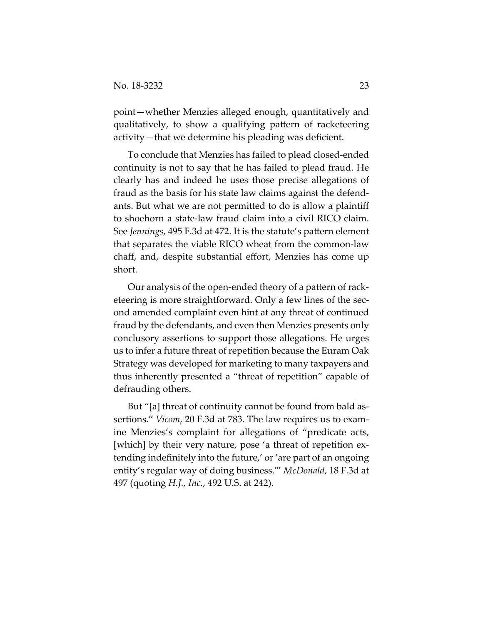point—whether Menzies alleged enough, quantitatively and qualitatively, to show a qualifying pattern of racketeering activity—that we determine his pleading was deficient.

To conclude that Menzies has failed to plead closed-ended continuity is not to say that he has failed to plead fraud. He clearly has and indeed he uses those precise allegations of fraud as the basis for his state law claims against the defendants. But what we are not permitted to do is allow a plaintiff to shoehorn a state-law fraud claim into a civil RICO claim. See *Jennings*, 495 F.3d at 472. It is the statute's pattern element that separates the viable RICO wheat from the common-law chaff, and, despite substantial effort, Menzies has come up short.

Our analysis of the open-ended theory of a pattern of racketeering is more straightforward. Only a few lines of the second amended complaint even hint at any threat of continued fraud by the defendants, and even then Menzies presents only conclusory assertions to support those allegations. He urges us to infer a future threat of repetition because the Euram Oak Strategy was developed for marketing to many taxpayers and thus inherently presented a "threat of repetition" capable of defrauding others.

But "[a] threat of continuity cannot be found from bald assertions." *Vicom*, 20 F.3d at 783. The law requires us to examine Menzies's complaint for allegations of "predicate acts, [which] by their very nature, pose 'a threat of repetition extending indefinitely into the future,' or 'are part of an ongoing entity's regular way of doing business.'" *McDonald*, 18 F.3d at 497 (quoting *H.J., Inc.*, 492 U.S. at 242).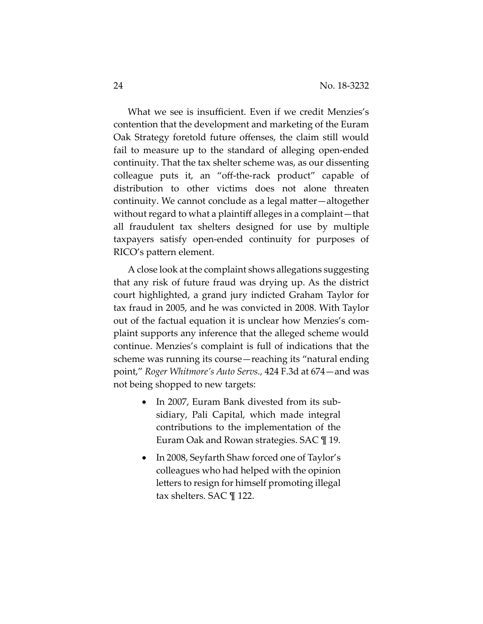What we see is insufficient. Even if we credit Menzies's contention that the development and marketing of the Euram Oak Strategy foretold future offenses, the claim still would fail to measure up to the standard of alleging open-ended continuity. That the tax shelter scheme was, as our dissenting colleague puts it, an "off-the-rack product" capable of distribution to other victims does not alone threaten continuity. We cannot conclude as a legal matter—altogether without regard to what a plaintiff alleges in a complaint—that all fraudulent tax shelters designed for use by multiple taxpayers satisfy open-ended continuity for purposes of RICO's pattern element.

A close look at the complaint shows allegations suggesting that any risk of future fraud was drying up. As the district court highlighted, a grand jury indicted Graham Taylor for tax fraud in 2005, and he was convicted in 2008. With Taylor out of the factual equation it is unclear how Menzies's complaint supports any inference that the alleged scheme would continue. Menzies's complaint is full of indications that the scheme was running its course—reaching its "natural ending point," *Roger Whitmore's Auto Servs.,* 424 F.3d at 674—and was not being shopped to new targets:

- In 2007, Euram Bank divested from its subsidiary, Pali Capital, which made integral contributions to the implementation of the Euram Oak and Rowan strategies. SAC ¶ 19.
- In 2008, Seyfarth Shaw forced one of Taylor's colleagues who had helped with the opinion letters to resign for himself promoting illegal tax shelters. SAC ¶ 122.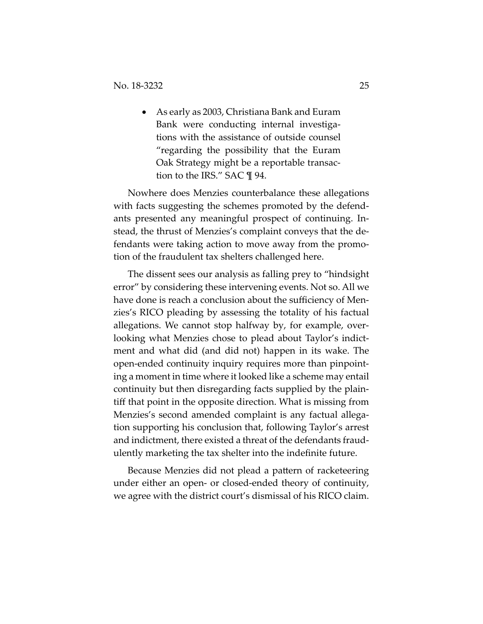As early as 2003, Christiana Bank and Euram Bank were conducting internal investigations with the assistance of outside counsel "regarding the possibility that the Euram Oak Strategy might be a reportable transaction to the IRS." SAC ¶ 94.

Nowhere does Menzies counterbalance these allegations with facts suggesting the schemes promoted by the defendants presented any meaningful prospect of continuing. Instead, the thrust of Menzies's complaint conveys that the defendants were taking action to move away from the promotion of the fraudulent tax shelters challenged here.

The dissent sees our analysis as falling prey to "hindsight error" by considering these intervening events. Not so. All we have done is reach a conclusion about the sufficiency of Menzies's RICO pleading by assessing the totality of his factual allegations. We cannot stop halfway by, for example, overlooking what Menzies chose to plead about Taylor's indictment and what did (and did not) happen in its wake. The open-ended continuity inquiry requires more than pinpointing a moment in time where it looked like a scheme may entail continuity but then disregarding facts supplied by the plaintiff that point in the opposite direction. What is missing from Menzies's second amended complaint is any factual allegation supporting his conclusion that, following Taylor's arrest and indictment, there existed a threat of the defendants fraudulently marketing the tax shelter into the indefinite future.

Because Menzies did not plead a pattern of racketeering under either an open- or closed-ended theory of continuity, we agree with the district court's dismissal of his RICO claim.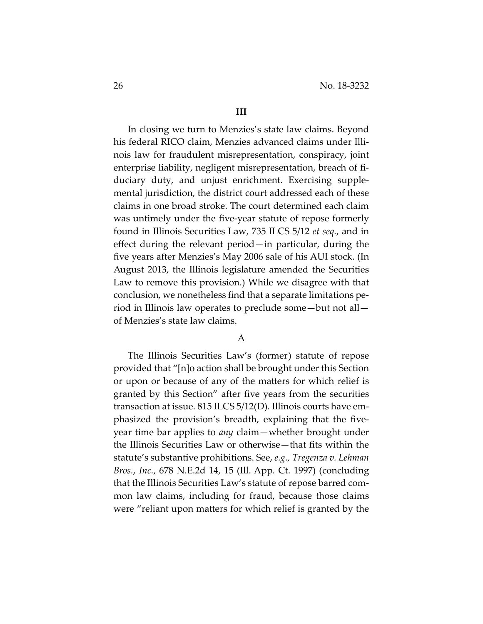#### **III**

In closing we turn to Menzies's state law claims. Beyond his federal RICO claim, Menzies advanced claims under Illinois law for fraudulent misrepresentation, conspiracy, joint enterprise liability, negligent misrepresentation, breach of fiduciary duty, and unjust enrichment. Exercising supplemental jurisdiction, the district court addressed each of these claims in one broad stroke. The court determined each claim was untimely under the five-year statute of repose formerly found in Illinois Securities Law, 735 ILCS 5/12 *et seq.*, and in effect during the relevant period—in particular, during the five years after Menzies's May 2006 sale of his AUI stock. (In August 2013, the Illinois legislature amended the Securities Law to remove this provision.) While we disagree with that conclusion, we nonetheless find that a separate limitations period in Illinois law operates to preclude some—but not all of Menzies's state law claims.

## A

The Illinois Securities Law's (former) statute of repose provided that "[n]o action shall be brought under this Section or upon or because of any of the matters for which relief is granted by this Section" after five years from the securities transaction at issue. 815 ILCS 5/12(D). Illinois courts have emphasized the provision's breadth, explaining that the fiveyear time bar applies to *any* claim—whether brought under the Illinois Securities Law or otherwise—that fits within the statute's substantive prohibitions. See, *e.g., Tregenza v. Lehman Bros.*, *Inc.*, 678 N.E.2d 14, 15 (Ill. App. Ct. 1997) (concluding that the Illinois Securities Law's statute of repose barred common law claims, including for fraud, because those claims were "reliant upon matters for which relief is granted by the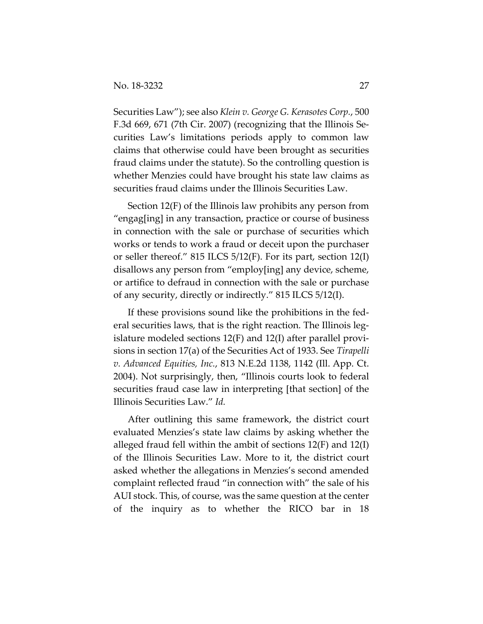Securities Law"); see also *Klein v. George G. Kerasotes Corp.*, 500 F.3d 669, 671 (7th Cir. 2007) (recognizing that the Illinois Securities Law's limitations periods apply to common law claims that otherwise could have been brought as securities fraud claims under the statute). So the controlling question is whether Menzies could have brought his state law claims as securities fraud claims under the Illinois Securities Law.

Section 12(F) of the Illinois law prohibits any person from "engag[ing] in any transaction, practice or course of business in connection with the sale or purchase of securities which works or tends to work a fraud or deceit upon the purchaser or seller thereof." 815 ILCS 5/12(F). For its part, section 12(I) disallows any person from "employ[ing] any device, scheme, or artifice to defraud in connection with the sale or purchase of any security, directly or indirectly." 815 ILCS 5/12(I).

If these provisions sound like the prohibitions in the federal securities laws, that is the right reaction. The Illinois legislature modeled sections 12(F) and 12(I) after parallel provisions in section 17(a) of the Securities Act of 1933. See *Tirapelli v. Advanced Equities, Inc.*, 813 N.E.2d 1138, 1142 (Ill. App. Ct. 2004). Not surprisingly, then, "Illinois courts look to federal securities fraud case law in interpreting [that section] of the Illinois Securities Law." *Id.*

After outlining this same framework, the district court evaluated Menzies's state law claims by asking whether the alleged fraud fell within the ambit of sections 12(F) and 12(I) of the Illinois Securities Law. More to it, the district court asked whether the allegations in Menzies's second amended complaint reflected fraud "in connection with" the sale of his AUI stock. This, of course, was the same question at the center of the inquiry as to whether the RICO bar in 18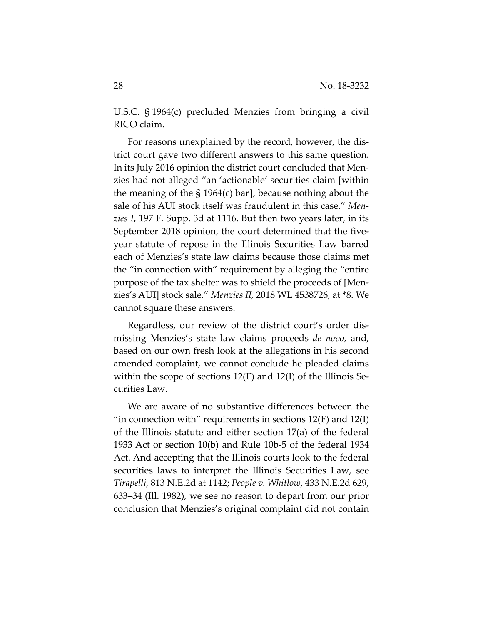U.S.C. § 1964(c) precluded Menzies from bringing a civil RICO claim.

For reasons unexplained by the record, however, the district court gave two different answers to this same question. In its July 2016 opinion the district court concluded that Menzies had not alleged "an 'actionable' securities claim [within the meaning of the § 1964(c) bar], because nothing about the sale of his AUI stock itself was fraudulent in this case." *Menzies I*, 197 F. Supp. 3d at 1116. But then two years later, in its September 2018 opinion, the court determined that the fiveyear statute of repose in the Illinois Securities Law barred each of Menzies's state law claims because those claims met the "in connection with" requirement by alleging the "entire purpose of the tax shelter was to shield the proceeds of [Menzies's AUI] stock sale." *Menzies II,* 2018 WL 4538726, at \*8. We cannot square these answers.

Regardless, our review of the district court's order dismissing Menzies's state law claims proceeds *de novo*, and, based on our own fresh look at the allegations in his second amended complaint, we cannot conclude he pleaded claims within the scope of sections 12(F) and 12(I) of the Illinois Securities Law.

We are aware of no substantive differences between the "in connection with" requirements in sections  $12(F)$  and  $12(I)$ of the Illinois statute and either section 17(a) of the federal 1933 Act or section 10(b) and Rule 10b-5 of the federal 1934 Act. And accepting that the Illinois courts look to the federal securities laws to interpret the Illinois Securities Law, see *Tirapelli*, 813 N.E.2d at 1142; *People v. Whitlow*, 433 N.E.2d 629, 633–34 (Ill. 1982), we see no reason to depart from our prior conclusion that Menzies's original complaint did not contain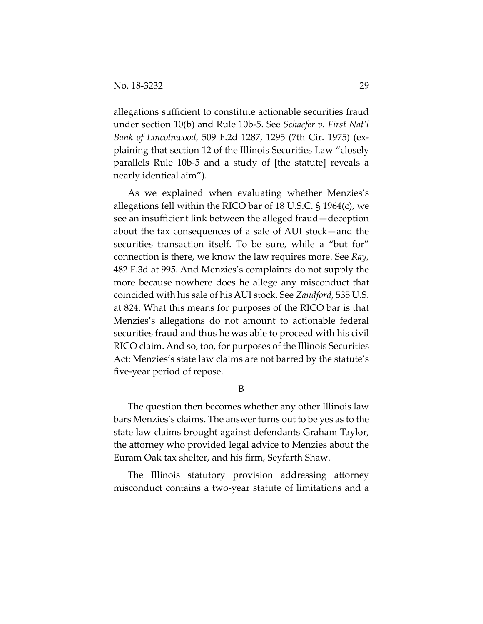allegations sufficient to constitute actionable securities fraud under section 10(b) and Rule 10b-5. See *Schaefer v. First Nat'l Bank of Lincolnwood*, 509 F.2d 1287, 1295 (7th Cir. 1975) (explaining that section 12 of the Illinois Securities Law "closely parallels Rule 10b-5 and a study of [the statute] reveals a nearly identical aim").

As we explained when evaluating whether Menzies's allegations fell within the RICO bar of 18 U.S.C. § 1964(c), we see an insufficient link between the alleged fraud—deception about the tax consequences of a sale of AUI stock—and the securities transaction itself. To be sure, while a "but for" connection is there, we know the law requires more. See *Ray*, 482 F.3d at 995. And Menzies's complaints do not supply the more because nowhere does he allege any misconduct that coincided with his sale of his AUI stock. See *Zandford*, 535 U.S. at 824. What this means for purposes of the RICO bar is that Menzies's allegations do not amount to actionable federal securities fraud and thus he was able to proceed with his civil RICO claim. And so, too, for purposes of the Illinois Securities Act: Menzies's state law claims are not barred by the statute's five-year period of repose.

B

The question then becomes whether any other Illinois law bars Menzies's claims. The answer turns out to be yes as to the state law claims brought against defendants Graham Taylor, the attorney who provided legal advice to Menzies about the Euram Oak tax shelter, and his firm, Seyfarth Shaw.

The Illinois statutory provision addressing attorney misconduct contains a two-year statute of limitations and a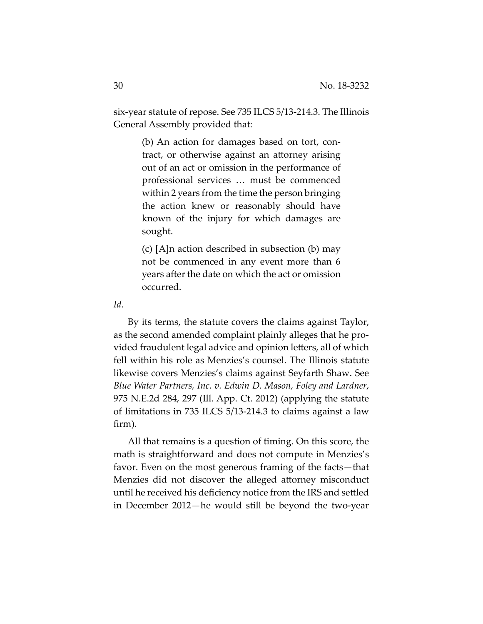six-year statute of repose. See 735 ILCS 5/13-214.3. The Illinois General Assembly provided that:

> (b) An action for damages based on tort, contract, or otherwise against an attorney arising out of an act or omission in the performance of professional services … must be commenced within 2 years from the time the person bringing the action knew or reasonably should have known of the injury for which damages are sought.

> (c) [A]n action described in subsection (b) may not be commenced in any event more than 6 years after the date on which the act or omission occurred.

*Id*.

By its terms, the statute covers the claims against Taylor, as the second amended complaint plainly alleges that he provided fraudulent legal advice and opinion letters, all of which fell within his role as Menzies's counsel. The Illinois statute likewise covers Menzies's claims against Seyfarth Shaw. See *Blue Water Partners, Inc. v. Edwin D. Mason, Foley and Lardner*, 975 N.E.2d 284, 297 (Ill. App. Ct. 2012) (applying the statute of limitations in 735 ILCS 5/13-214.3 to claims against a law firm).

All that remains is a question of timing. On this score, the math is straightforward and does not compute in Menzies's favor. Even on the most generous framing of the facts—that Menzies did not discover the alleged attorney misconduct until he received his deficiency notice from the IRS and settled in December 2012—he would still be beyond the two-year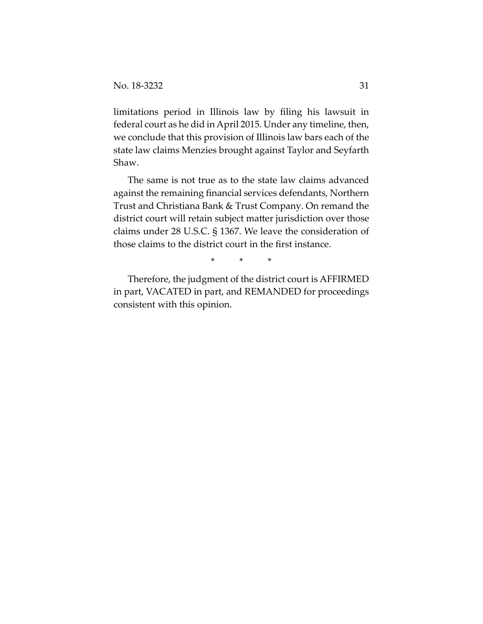limitations period in Illinois law by filing his lawsuit in federal court as he did in April 2015. Under any timeline, then, we conclude that this provision of Illinois law bars each of the state law claims Menzies brought against Taylor and Seyfarth Shaw.

The same is not true as to the state law claims advanced against the remaining financial services defendants, Northern Trust and Christiana Bank & Trust Company. On remand the district court will retain subject matter jurisdiction over those claims under 28 U.S.C. § 1367. We leave the consideration of those claims to the district court in the first instance.

\* \* \*

Therefore, the judgment of the district court is AFFIRMED in part, VACATED in part, and REMANDED for proceedings consistent with this opinion.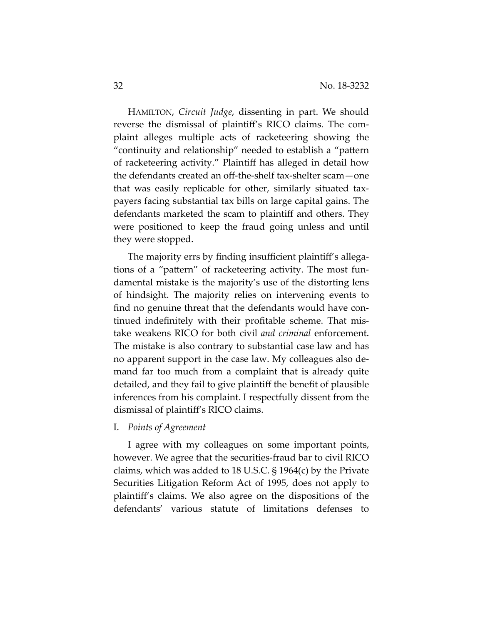HAMILTON, *Circuit Judge*, dissenting in part. We should reverse the dismissal of plaintiff's RICO claims. The complaint alleges multiple acts of racketeering showing the "continuity and relationship" needed to establish a "pattern of racketeering activity." Plaintiff has alleged in detail how the defendants created an off-the-shelf tax-shelter scam—one that was easily replicable for other, similarly situated taxpayers facing substantial tax bills on large capital gains. The defendants marketed the scam to plaintiff and others. They were positioned to keep the fraud going unless and until they were stopped.

The majority errs by finding insufficient plaintiff's allegations of a "pattern" of racketeering activity. The most fundamental mistake is the majority's use of the distorting lens of hindsight. The majority relies on intervening events to find no genuine threat that the defendants would have continued indefinitely with their profitable scheme. That mistake weakens RICO for both civil *and criminal* enforcement. The mistake is also contrary to substantial case law and has no apparent support in the case law. My colleagues also demand far too much from a complaint that is already quite detailed, and they fail to give plaintiff the benefit of plausible inferences from his complaint. I respectfully dissent from the dismissal of plaintiff's RICO claims.

## I. *Points of Agreement*

I agree with my colleagues on some important points, however. We agree that the securities-fraud bar to civil RICO claims, which was added to 18 U.S.C. § 1964(c) by the Private Securities Litigation Reform Act of 1995, does not apply to plaintiff's claims. We also agree on the dispositions of the defendants' various statute of limitations defenses to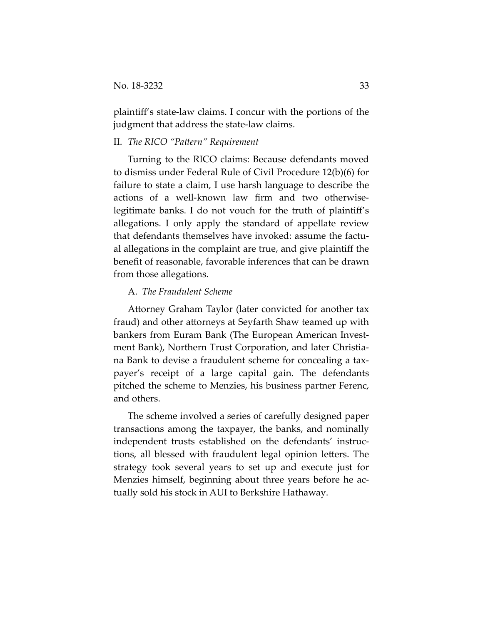plaintiff's state-law claims. I concur with the portions of the judgment that address the state-law claims.

### II. *The RICO "Pattern" Requirement*

Turning to the RICO claims: Because defendants moved to dismiss under Federal Rule of Civil Procedure 12(b)(6) for failure to state a claim, I use harsh language to describe the actions of a well-known law firm and two otherwiselegitimate banks. I do not vouch for the truth of plaintiff's allegations. I only apply the standard of appellate review that defendants themselves have invoked: assume the factual allegations in the complaint are true, and give plaintiff the benefit of reasonable, favorable inferences that can be drawn from those allegations.

#### A. *The Fraudulent Scheme*

Attorney Graham Taylor (later convicted for another tax fraud) and other attorneys at Seyfarth Shaw teamed up with bankers from Euram Bank (The European American Investment Bank), Northern Trust Corporation, and later Christiana Bank to devise a fraudulent scheme for concealing a taxpayer's receipt of a large capital gain. The defendants pitched the scheme to Menzies, his business partner Ferenc, and others.

The scheme involved a series of carefully designed paper transactions among the taxpayer, the banks, and nominally independent trusts established on the defendants' instructions, all blessed with fraudulent legal opinion letters. The strategy took several years to set up and execute just for Menzies himself, beginning about three years before he actually sold his stock in AUI to Berkshire Hathaway.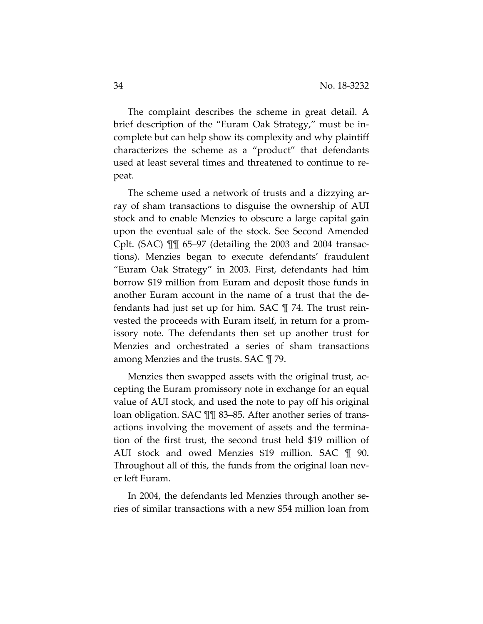The complaint describes the scheme in great detail. A brief description of the "Euram Oak Strategy," must be incomplete but can help show its complexity and why plaintiff characterizes the scheme as a "product" that defendants used at least several times and threatened to continue to repeat.

The scheme used a network of trusts and a dizzying array of sham transactions to disguise the ownership of AUI stock and to enable Menzies to obscure a large capital gain upon the eventual sale of the stock. See Second Amended Cplt. (SAC) ¶¶ 65–97 (detailing the 2003 and 2004 transactions). Menzies began to execute defendants' fraudulent "Euram Oak Strategy" in 2003. First, defendants had him borrow \$19 million from Euram and deposit those funds in another Euram account in the name of a trust that the defendants had just set up for him. SAC ¶ 74. The trust reinvested the proceeds with Euram itself, in return for a promissory note. The defendants then set up another trust for Menzies and orchestrated a series of sham transactions among Menzies and the trusts. SAC ¶ 79.

Menzies then swapped assets with the original trust, accepting the Euram promissory note in exchange for an equal value of AUI stock, and used the note to pay off his original loan obligation. SAC ¶¶ 83–85. After another series of transactions involving the movement of assets and the termination of the first trust, the second trust held \$19 million of AUI stock and owed Menzies \$19 million. SAC ¶ 90. Throughout all of this, the funds from the original loan never left Euram.

In 2004, the defendants led Menzies through another series of similar transactions with a new \$54 million loan from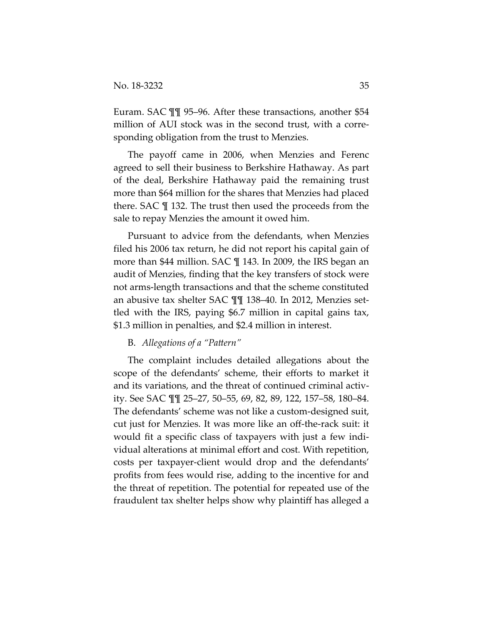Euram. SAC ¶¶ 95–96. After these transactions, another \$54 million of AUI stock was in the second trust, with a corresponding obligation from the trust to Menzies.

The payoff came in 2006, when Menzies and Ferenc agreed to sell their business to Berkshire Hathaway. As part of the deal, Berkshire Hathaway paid the remaining trust more than \$64 million for the shares that Menzies had placed there. SAC ¶ 132. The trust then used the proceeds from the sale to repay Menzies the amount it owed him.

Pursuant to advice from the defendants, when Menzies filed his 2006 tax return, he did not report his capital gain of more than \$44 million. SAC ¶ 143. In 2009, the IRS began an audit of Menzies, finding that the key transfers of stock were not arms-length transactions and that the scheme constituted an abusive tax shelter SAC ¶¶ 138–40. In 2012, Menzies settled with the IRS, paying \$6.7 million in capital gains tax, \$1.3 million in penalties, and \$2.4 million in interest.

#### B. *Allegations of a "Pattern"*

The complaint includes detailed allegations about the scope of the defendants' scheme, their efforts to market it and its variations, and the threat of continued criminal activity. See SAC ¶¶ 25–27, 50–55, 69, 82, 89, 122, 157–58, 180–84. The defendants' scheme was not like a custom-designed suit, cut just for Menzies. It was more like an off-the-rack suit: it would fit a specific class of taxpayers with just a few individual alterations at minimal effort and cost. With repetition, costs per taxpayer-client would drop and the defendants' profits from fees would rise, adding to the incentive for and the threat of repetition. The potential for repeated use of the fraudulent tax shelter helps show why plaintiff has alleged a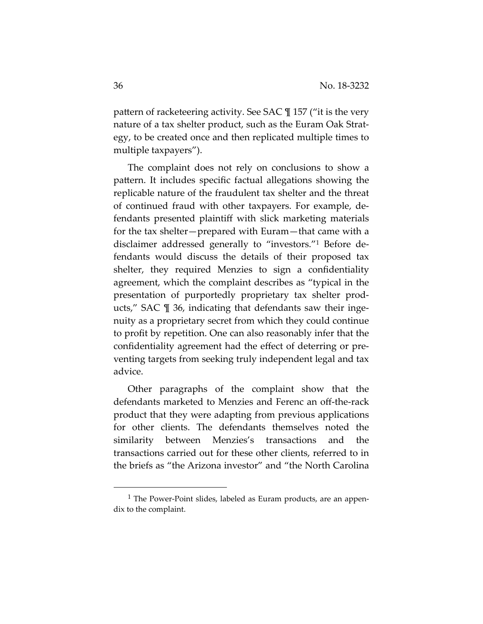pattern of racketeering activity. See SAC ¶ 157 ("it is the very nature of a tax shelter product, such as the Euram Oak Strategy, to be created once and then replicated multiple times to multiple taxpayers").

The complaint does not rely on conclusions to show a pattern. It includes specific factual allegations showing the replicable nature of the fraudulent tax shelter and the threat of continued fraud with other taxpayers. For example, defendants presented plaintiff with slick marketing materials for the tax shelter—prepared with Euram—that came with a disclaimer addressed generally to "investors."1 Before defendants would discuss the details of their proposed tax shelter, they required Menzies to sign a confidentiality agreement, which the complaint describes as "typical in the presentation of purportedly proprietary tax shelter products," SAC ¶ 36, indicating that defendants saw their ingenuity as a proprietary secret from which they could continue to profit by repetition. One can also reasonably infer that the confidentiality agreement had the effect of deterring or preventing targets from seeking truly independent legal and tax advice.

Other paragraphs of the complaint show that the defendants marketed to Menzies and Ferenc an off-the-rack product that they were adapting from previous applications for other clients. The defendants themselves noted the similarity between Menzies's transactions and the transactions carried out for these other clients, referred to in the briefs as "the Arizona investor" and "the North Carolina

<sup>&</sup>lt;sup>1</sup> The Power-Point slides, labeled as Euram products, are an appendix to the complaint.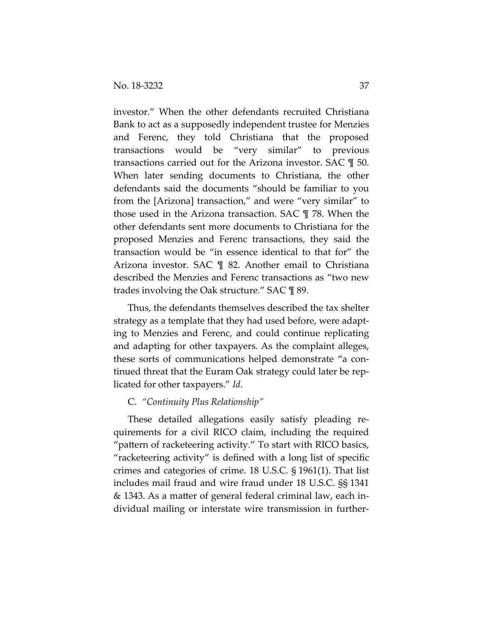investor." When the other defendants recruited Christiana Bank to act as a supposedly independent trustee for Menzies and Ferenc, they told Christiana that the proposed transactions would be "very similar" to previous transactions carried out for the Arizona investor. SAC ¶ 50. When later sending documents to Christiana, the other defendants said the documents "should be familiar to you from the [Arizona] transaction," and were "very similar" to those used in the Arizona transaction. SAC ¶ 78. When the other defendants sent more documents to Christiana for the proposed Menzies and Ferenc transactions, they said the transaction would be "in essence identical to that for" the Arizona investor. SAC ¶ 82. Another email to Christiana described the Menzies and Ferenc transactions as "two new trades involving the Oak structure." SAC ¶ 89.

Thus, the defendants themselves described the tax shelter strategy as a template that they had used before, were adapting to Menzies and Ferenc, and could continue replicating and adapting for other taxpayers. As the complaint alleges, these sorts of communications helped demonstrate "a continued threat that the Euram Oak strategy could later be replicated for other taxpayers." *Id*.

#### C. *"Continuity Plus Relationship"*

These detailed allegations easily satisfy pleading requirements for a civil RICO claim, including the required "pattern of racketeering activity." To start with RICO basics, "racketeering activity" is defined with a long list of specific crimes and categories of crime. 18 U.S.C. § 1961(1). That list includes mail fraud and wire fraud under 18 U.S.C. §§ 1341 & 1343. As a matter of general federal criminal law, each individual mailing or interstate wire transmission in further-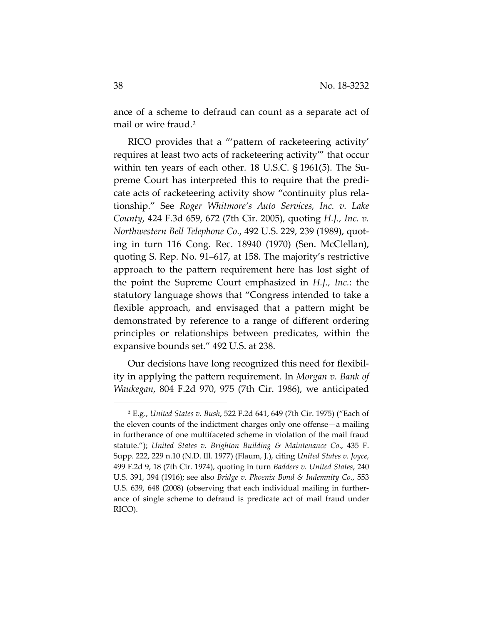ance of a scheme to defraud can count as a separate act of mail or wire fraud.2

RICO provides that a "'pattern of racketeering activity' requires at least two acts of racketeering activity'" that occur within ten years of each other. 18 U.S.C. § 1961(5). The Supreme Court has interpreted this to require that the predicate acts of racketeering activity show "continuity plus relationship." See *Roger Whitmore's Auto Services, Inc. v. Lake County*, 424 F.3d 659, 672 (7th Cir. 2005), quoting *H.J., Inc. v. Northwestern Bell Telephone Co*., 492 U.S. 229, 239 (1989), quoting in turn 116 Cong. Rec. 18940 (1970) (Sen. McClellan), quoting S. Rep. No. 91–617, at 158. The majority's restrictive approach to the pattern requirement here has lost sight of the point the Supreme Court emphasized in *H.J., Inc.*: the statutory language shows that "Congress intended to take a flexible approach, and envisaged that a pattern might be demonstrated by reference to a range of different ordering principles or relationships between predicates, within the expansive bounds set." 492 U.S. at 238.

Our decisions have long recognized this need for flexibility in applying the pattern requirement. In *Morgan v. Bank of Waukegan*, 804 F.2d 970, 975 (7th Cir. 1986), we anticipated

l

<sup>2</sup> E.g., *United States v. Bush*, 522 F.2d 641, 649 (7th Cir. 1975) ("Each of the eleven counts of the indictment charges only one offense—a mailing in furtherance of one multifaceted scheme in violation of the mail fraud statute."); *United States v. Brighton Building & Maintenance Co*., 435 F. Supp. 222, 229 n.10 (N.D. Ill. 1977) (Flaum, J.), citing *United States v. Joyce*, 499 F.2d 9, 18 (7th Cir. 1974), quoting in turn *Badders v. United States*, 240 U.S. 391, 394 (1916); see also *Bridge v. Phoenix Bond & Indemnity Co.*, 553 U.S. 639, 648 (2008) (observing that each individual mailing in furtherance of single scheme to defraud is predicate act of mail fraud under RICO).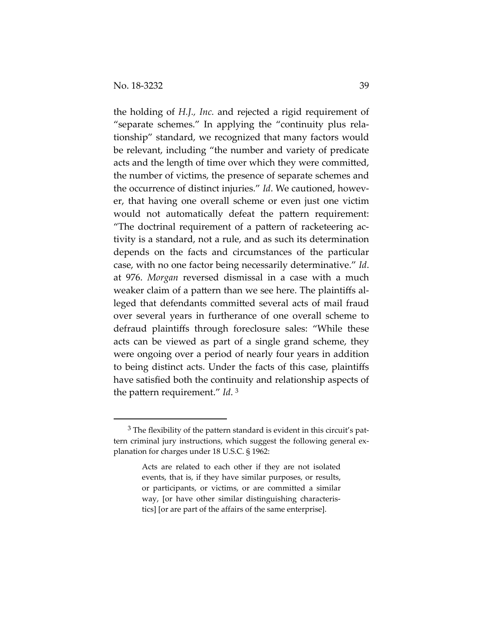$\overline{a}$ 

the holding of *H.J., Inc.* and rejected a rigid requirement of "separate schemes." In applying the "continuity plus relationship" standard, we recognized that many factors would be relevant, including "the number and variety of predicate acts and the length of time over which they were committed, the number of victims, the presence of separate schemes and the occurrence of distinct injuries." *Id*. We cautioned, however, that having one overall scheme or even just one victim would not automatically defeat the pattern requirement: "The doctrinal requirement of a pattern of racketeering activity is a standard, not a rule, and as such its determination depends on the facts and circumstances of the particular case, with no one factor being necessarily determinative." *Id*. at 976. *Morgan* reversed dismissal in a case with a much weaker claim of a pattern than we see here. The plaintiffs alleged that defendants committed several acts of mail fraud over several years in furtherance of one overall scheme to defraud plaintiffs through foreclosure sales: "While these acts can be viewed as part of a single grand scheme, they were ongoing over a period of nearly four years in addition to being distinct acts. Under the facts of this case, plaintiffs have satisfied both the continuity and relationship aspects of the pattern requirement." *Id*. 3

 $3$  The flexibility of the pattern standard is evident in this circuit's pattern criminal jury instructions, which suggest the following general explanation for charges under 18 U.S.C. § 1962:

Acts are related to each other if they are not isolated events, that is, if they have similar purposes, or results, or participants, or victims, or are committed a similar way, [or have other similar distinguishing characteristics] [or are part of the affairs of the same enterprise].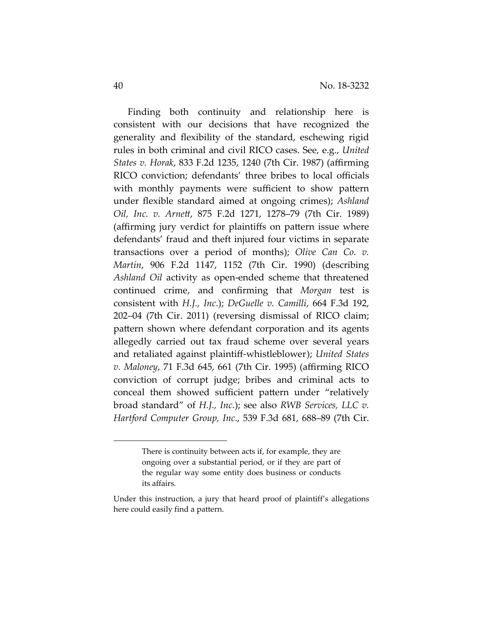Finding both continuity and relationship here is consistent with our decisions that have recognized the generality and flexibility of the standard, eschewing rigid rules in both criminal and civil RICO cases. See, e.g., *United States v. Horak*, 833 F.2d 1235, 1240 (7th Cir. 1987) (affirming RICO conviction; defendants' three bribes to local officials with monthly payments were sufficient to show pattern under flexible standard aimed at ongoing crimes); *Ashland Oil, Inc. v. Arnett*, 875 F.2d 1271, 1278–79 (7th Cir. 1989) (affirming jury verdict for plaintiffs on pattern issue where defendants' fraud and theft injured four victims in separate transactions over a period of months); *Olive Can Co. v. Martin*, 906 F.2d 1147, 1152 (7th Cir. 1990) (describing *Ashland Oil* activity as open-ended scheme that threatened continued crime, and confirming that *Morgan* test is consistent with *H.J., Inc*.); *DeGuelle v. Camilli*, 664 F.3d 192, 202–04 (7th Cir. 2011) (reversing dismissal of RICO claim; pattern shown where defendant corporation and its agents allegedly carried out tax fraud scheme over several years and retaliated against plaintiff-whistleblower); *United States v. Maloney*, 71 F.3d 645, 661 (7th Cir. 1995) (affirming RICO conviction of corrupt judge; bribes and criminal acts to conceal them showed sufficient pattern under "relatively broad standard" of *H.J., Inc*.); see also *RWB Services, LLC v. Hartford Computer Group, Inc*., 539 F.3d 681, 688–89 (7th Cir.

l

There is continuity between acts if, for example, they are ongoing over a substantial period, or if they are part of the regular way some entity does business or conducts its affairs.

Under this instruction, a jury that heard proof of plaintiff's allegations here could easily find a pattern.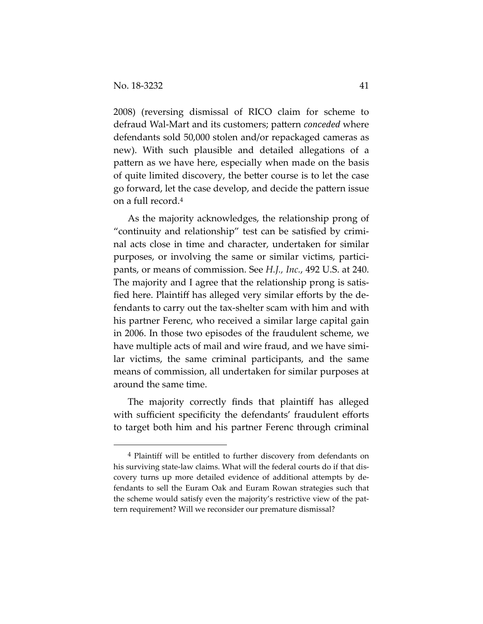2008) (reversing dismissal of RICO claim for scheme to defraud Wal-Mart and its customers; pattern *conceded* where defendants sold 50,000 stolen and/or repackaged cameras as new). With such plausible and detailed allegations of a pattern as we have here, especially when made on the basis of quite limited discovery, the better course is to let the case go forward, let the case develop, and decide the pattern issue on a full record.4

As the majority acknowledges, the relationship prong of "continuity and relationship" test can be satisfied by criminal acts close in time and character, undertaken for similar purposes, or involving the same or similar victims, participants, or means of commission. See *H.J., Inc.*, 492 U.S. at 240. The majority and I agree that the relationship prong is satisfied here. Plaintiff has alleged very similar efforts by the defendants to carry out the tax-shelter scam with him and with his partner Ferenc, who received a similar large capital gain in 2006. In those two episodes of the fraudulent scheme, we have multiple acts of mail and wire fraud, and we have similar victims, the same criminal participants, and the same means of commission, all undertaken for similar purposes at around the same time.

The majority correctly finds that plaintiff has alleged with sufficient specificity the defendants' fraudulent efforts to target both him and his partner Ferenc through criminal

 <sup>4</sup> Plaintiff will be entitled to further discovery from defendants on his surviving state-law claims. What will the federal courts do if that discovery turns up more detailed evidence of additional attempts by defendants to sell the Euram Oak and Euram Rowan strategies such that the scheme would satisfy even the majority's restrictive view of the pattern requirement? Will we reconsider our premature dismissal?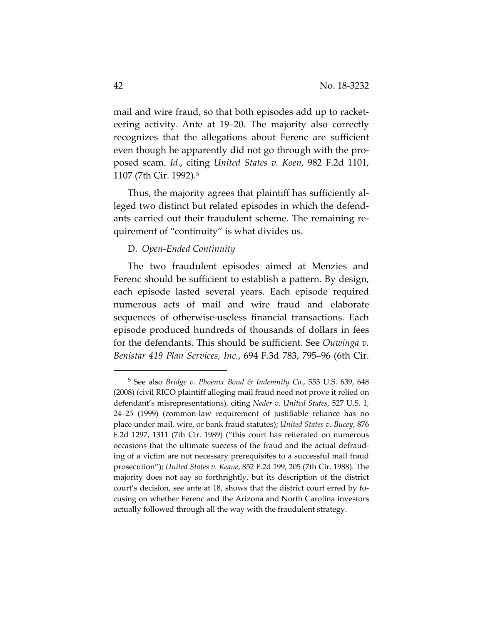mail and wire fraud, so that both episodes add up to racketeering activity. Ante at 19–20. The majority also correctly recognizes that the allegations about Ferenc are sufficient even though he apparently did not go through with the proposed scam. *Id*., citing *United States v. Koen*, 982 F.2d 1101, 1107 (7th Cir. 1992).5

Thus, the majority agrees that plaintiff has sufficiently alleged two distinct but related episodes in which the defendants carried out their fraudulent scheme. The remaining requirement of "continuity" is what divides us.

#### D. *Open-Ended Continuity*

The two fraudulent episodes aimed at Menzies and Ferenc should be sufficient to establish a pattern. By design, each episode lasted several years. Each episode required numerous acts of mail and wire fraud and elaborate sequences of otherwise-useless financial transactions. Each episode produced hundreds of thousands of dollars in fees for the defendants. This should be sufficient. See *Ouwinga v. Benistar 419 Plan Services, Inc.*, 694 F.3d 783, 795–96 (6th Cir.

-

<sup>5</sup> See also *Bridge v. Phoenix Bond & Indemnity Co*., 553 U.S. 639, 648 (2008) (civil RICO plaintiff alleging mail fraud need not prove it relied on defendant's misrepresentations), citing *Neder v. United States*, 527 U.S. 1, 24–25 (1999) (common-law requirement of justifiable reliance has no place under mail, wire, or bank fraud statutes); *United States v. Bucey*, 876 F.2d 1297, 1311 (7th Cir. 1989) ("this court has reiterated on numerous occasions that the ultimate success of the fraud and the actual defrauding of a victim are not necessary prerequisites to a successful mail fraud prosecution"); *United States v. Keane*, 852 F.2d 199, 205 (7th Cir. 1988). The majority does not say so forthrightly, but its description of the district court's decision, see ante at 18, shows that the district court erred by focusing on whether Ferenc and the Arizona and North Carolina investors actually followed through all the way with the fraudulent strategy.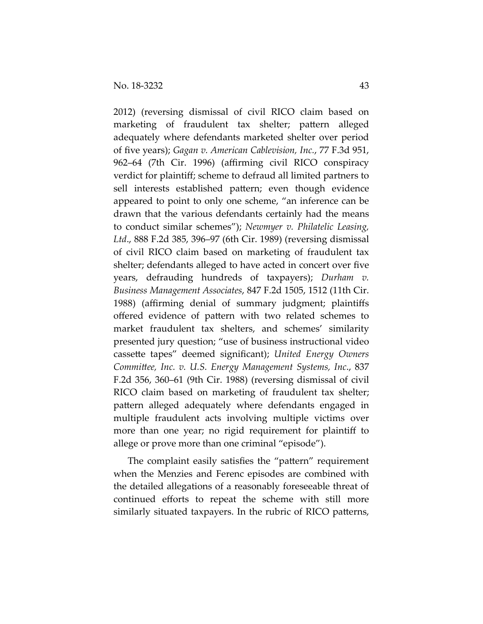2012) (reversing dismissal of civil RICO claim based on marketing of fraudulent tax shelter; pattern alleged adequately where defendants marketed shelter over period of five years); *Gagan v. American Cablevision, Inc.*, 77 F.3d 951, 962–64 (7th Cir. 1996) (affirming civil RICO conspiracy verdict for plaintiff; scheme to defraud all limited partners to sell interests established pattern; even though evidence appeared to point to only one scheme, "an inference can be drawn that the various defendants certainly had the means to conduct similar schemes"); *Newmyer v. Philatelic Leasing, Ltd*., 888 F.2d 385, 396–97 (6th Cir. 1989) (reversing dismissal of civil RICO claim based on marketing of fraudulent tax shelter; defendants alleged to have acted in concert over five years, defrauding hundreds of taxpayers); *Durham v. Business Management Associates*, 847 F.2d 1505, 1512 (11th Cir. 1988) (affirming denial of summary judgment; plaintiffs offered evidence of pattern with two related schemes to market fraudulent tax shelters, and schemes' similarity presented jury question; "use of business instructional video cassette tapes" deemed significant); *United Energy Owners Committee, Inc. v. U.S. Energy Management Systems, Inc*., 837 F.2d 356, 360–61 (9th Cir. 1988) (reversing dismissal of civil RICO claim based on marketing of fraudulent tax shelter; pattern alleged adequately where defendants engaged in multiple fraudulent acts involving multiple victims over more than one year; no rigid requirement for plaintiff to allege or prove more than one criminal "episode").

The complaint easily satisfies the "pattern" requirement when the Menzies and Ferenc episodes are combined with the detailed allegations of a reasonably foreseeable threat of continued efforts to repeat the scheme with still more similarly situated taxpayers. In the rubric of RICO patterns,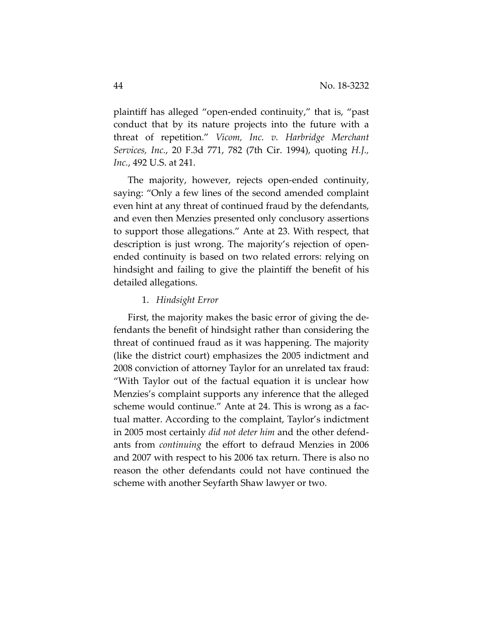plaintiff has alleged "open-ended continuity," that is, "past conduct that by its nature projects into the future with a threat of repetition." *Vicom, Inc. v. Harbridge Merchant Services, Inc.*, 20 F.3d 771, 782 (7th Cir. 1994), quoting *H.J., Inc.*, 492 U.S. at 241.

The majority, however, rejects open-ended continuity, saying: "Only a few lines of the second amended complaint even hint at any threat of continued fraud by the defendants, and even then Menzies presented only conclusory assertions to support those allegations." Ante at 23. With respect, that description is just wrong. The majority's rejection of openended continuity is based on two related errors: relying on hindsight and failing to give the plaintiff the benefit of his detailed allegations.

#### 1. *Hindsight Error*

First, the majority makes the basic error of giving the defendants the benefit of hindsight rather than considering the threat of continued fraud as it was happening. The majority (like the district court) emphasizes the 2005 indictment and 2008 conviction of attorney Taylor for an unrelated tax fraud: "With Taylor out of the factual equation it is unclear how Menzies's complaint supports any inference that the alleged scheme would continue." Ante at 24. This is wrong as a factual matter. According to the complaint, Taylor's indictment in 2005 most certainly *did not deter him* and the other defendants from *continuing* the effort to defraud Menzies in 2006 and 2007 with respect to his 2006 tax return. There is also no reason the other defendants could not have continued the scheme with another Seyfarth Shaw lawyer or two.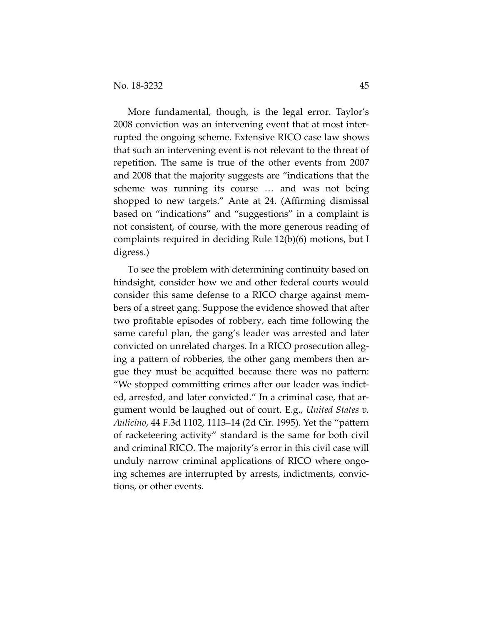More fundamental, though, is the legal error. Taylor's 2008 conviction was an intervening event that at most interrupted the ongoing scheme. Extensive RICO case law shows that such an intervening event is not relevant to the threat of repetition. The same is true of the other events from 2007 and 2008 that the majority suggests are "indications that the scheme was running its course … and was not being shopped to new targets." Ante at 24. (Affirming dismissal based on "indications" and "suggestions" in a complaint is not consistent, of course, with the more generous reading of complaints required in deciding Rule 12(b)(6) motions, but I digress.)

To see the problem with determining continuity based on hindsight, consider how we and other federal courts would consider this same defense to a RICO charge against members of a street gang. Suppose the evidence showed that after two profitable episodes of robbery, each time following the same careful plan, the gang's leader was arrested and later convicted on unrelated charges. In a RICO prosecution alleging a pattern of robberies, the other gang members then argue they must be acquitted because there was no pattern: "We stopped committing crimes after our leader was indicted, arrested, and later convicted." In a criminal case, that argument would be laughed out of court. E.g., *United States v. Aulicino*, 44 F.3d 1102, 1113–14 (2d Cir. 1995). Yet the "pattern of racketeering activity" standard is the same for both civil and criminal RICO. The majority's error in this civil case will unduly narrow criminal applications of RICO where ongoing schemes are interrupted by arrests, indictments, convictions, or other events.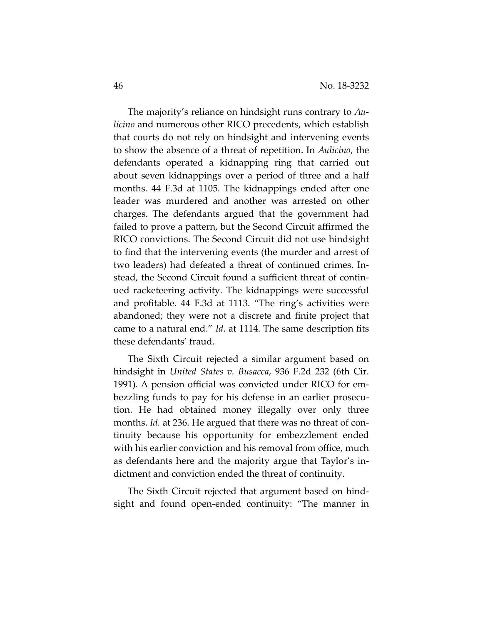The majority's reliance on hindsight runs contrary to *Aulicino* and numerous other RICO precedents, which establish that courts do not rely on hindsight and intervening events to show the absence of a threat of repetition. In *Aulicino*, the defendants operated a kidnapping ring that carried out about seven kidnappings over a period of three and a half months. 44 F.3d at 1105. The kidnappings ended after one leader was murdered and another was arrested on other charges. The defendants argued that the government had failed to prove a pattern, but the Second Circuit affirmed the RICO convictions. The Second Circuit did not use hindsight to find that the intervening events (the murder and arrest of two leaders) had defeated a threat of continued crimes. Instead, the Second Circuit found a sufficient threat of continued racketeering activity. The kidnappings were successful and profitable. 44 F.3d at 1113. "The ring's activities were abandoned; they were not a discrete and finite project that came to a natural end." *Id*. at 1114. The same description fits these defendants' fraud.

The Sixth Circuit rejected a similar argument based on hindsight in *United States v. Busacca*, 936 F.2d 232 (6th Cir. 1991). A pension official was convicted under RICO for embezzling funds to pay for his defense in an earlier prosecution. He had obtained money illegally over only three months. *Id.* at 236. He argued that there was no threat of continuity because his opportunity for embezzlement ended with his earlier conviction and his removal from office, much as defendants here and the majority argue that Taylor's indictment and conviction ended the threat of continuity.

The Sixth Circuit rejected that argument based on hindsight and found open-ended continuity: "The manner in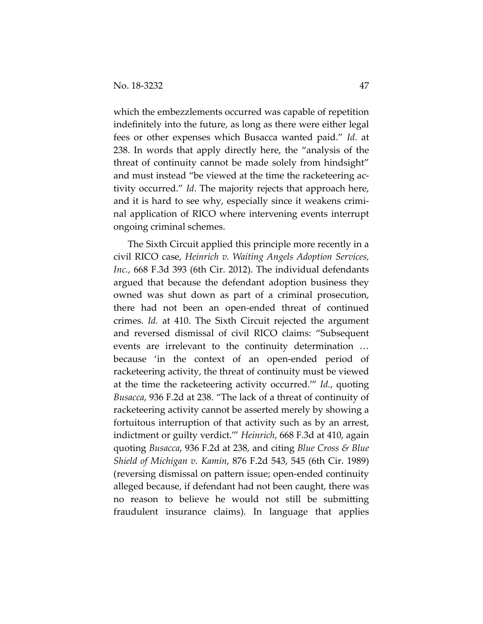which the embezzlements occurred was capable of repetition indefinitely into the future, as long as there were either legal fees or other expenses which Busacca wanted paid." *Id*. at 238. In words that apply directly here, the "analysis of the threat of continuity cannot be made solely from hindsight" and must instead "be viewed at the time the racketeering activity occurred." *Id*. The majority rejects that approach here, and it is hard to see why, especially since it weakens criminal application of RICO where intervening events interrupt ongoing criminal schemes.

The Sixth Circuit applied this principle more recently in a civil RICO case, *Heinrich v. Waiting Angels Adoption Services, Inc.*, 668 F.3d 393 (6th Cir. 2012). The individual defendants argued that because the defendant adoption business they owned was shut down as part of a criminal prosecution, there had not been an open-ended threat of continued crimes. *Id.* at 410. The Sixth Circuit rejected the argument and reversed dismissal of civil RICO claims: "Subsequent events are irrelevant to the continuity determination … because 'in the context of an open-ended period of racketeering activity, the threat of continuity must be viewed at the time the racketeering activity occurred.'" *Id.*, quoting *Busacca*, 936 F.2d at 238. "The lack of a threat of continuity of racketeering activity cannot be asserted merely by showing a fortuitous interruption of that activity such as by an arrest, indictment or guilty verdict.'" *Heinrich*, 668 F.3d at 410, again quoting *Busacca*, 936 F.2d at 238, and citing *Blue Cross & Blue Shield of Michigan v. Kamin*, 876 F.2d 543, 545 (6th Cir. 1989) (reversing dismissal on pattern issue; open-ended continuity alleged because, if defendant had not been caught, there was no reason to believe he would not still be submitting fraudulent insurance claims). In language that applies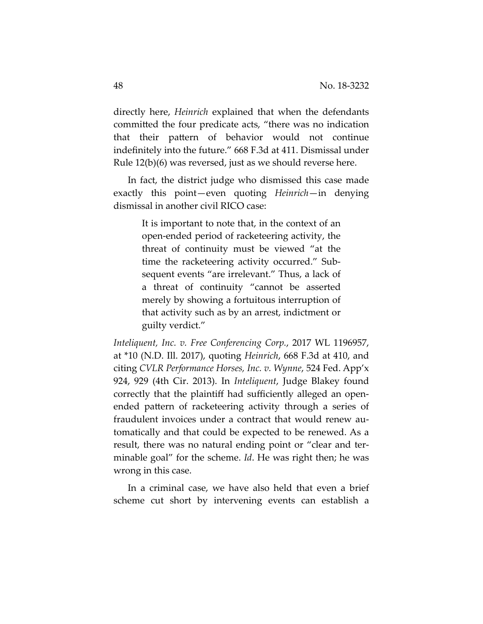directly here, *Heinrich* explained that when the defendants committed the four predicate acts, "there was no indication that their pattern of behavior would not continue indefinitely into the future." 668 F.3d at 411. Dismissal under Rule 12(b)(6) was reversed, just as we should reverse here.

In fact, the district judge who dismissed this case made exactly this point—even quoting *Heinrich*—in denying dismissal in another civil RICO case:

> It is important to note that, in the context of an open-ended period of racketeering activity, the threat of continuity must be viewed "at the time the racketeering activity occurred." Subsequent events "are irrelevant." Thus, a lack of a threat of continuity "cannot be asserted merely by showing a fortuitous interruption of that activity such as by an arrest, indictment or guilty verdict."

*Inteliquent, Inc. v. Free Conferencing Corp.*, 2017 WL 1196957, at \*10 (N.D. Ill. 2017), quoting *Heinrich*, 668 F.3d at 410, and citing *CVLR Performance Horses, Inc. v. Wynne*, 524 Fed. App'x 924, 929 (4th Cir. 2013). In *Inteliquent*, Judge Blakey found correctly that the plaintiff had sufficiently alleged an openended pattern of racketeering activity through a series of fraudulent invoices under a contract that would renew automatically and that could be expected to be renewed. As a result, there was no natural ending point or "clear and terminable goal" for the scheme. *Id*. He was right then; he was wrong in this case.

In a criminal case, we have also held that even a brief scheme cut short by intervening events can establish a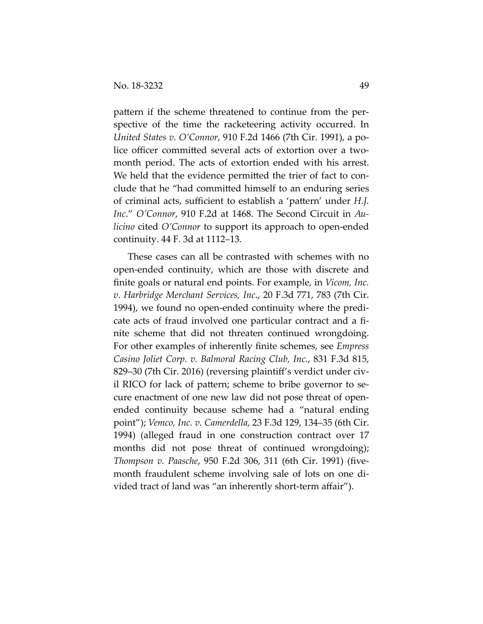pattern if the scheme threatened to continue from the perspective of the time the racketeering activity occurred. In *United States v. O'Connor*, 910 F.2d 1466 (7th Cir. 1991), a police officer committed several acts of extortion over a twomonth period. The acts of extortion ended with his arrest. We held that the evidence permitted the trier of fact to conclude that he "had committed himself to an enduring series of criminal acts, sufficient to establish a 'pattern' under *H.J. Inc*." *O'Connor*, 910 F.2d at 1468. The Second Circuit in *Aulicino* cited *O'Connor* to support its approach to open-ended continuity. 44 F. 3d at 1112–13.

These cases can all be contrasted with schemes with no open-ended continuity, which are those with discrete and finite goals or natural end points. For example, in *Vicom, Inc. v. Harbridge Merchant Services, Inc*., 20 F.3d 771, 783 (7th Cir. 1994), we found no open-ended continuity where the predicate acts of fraud involved one particular contract and a finite scheme that did not threaten continued wrongdoing. For other examples of inherently finite schemes, see *Empress Casino Joliet Corp. v. Balmoral Racing Club, Inc.*, 831 F.3d 815, 829–30 (7th Cir. 2016) (reversing plaintiff's verdict under civil RICO for lack of pattern; scheme to bribe governor to secure enactment of one new law did not pose threat of openended continuity because scheme had a "natural ending point"); *Vemco, Inc. v. Camerdella*, 23 F.3d 129, 134–35 (6th Cir. 1994) (alleged fraud in one construction contract over 17 months did not pose threat of continued wrongdoing); *Thompson v. Paasche*, 950 F.2d 306, 311 (6th Cir. 1991) (fivemonth fraudulent scheme involving sale of lots on one divided tract of land was "an inherently short-term affair").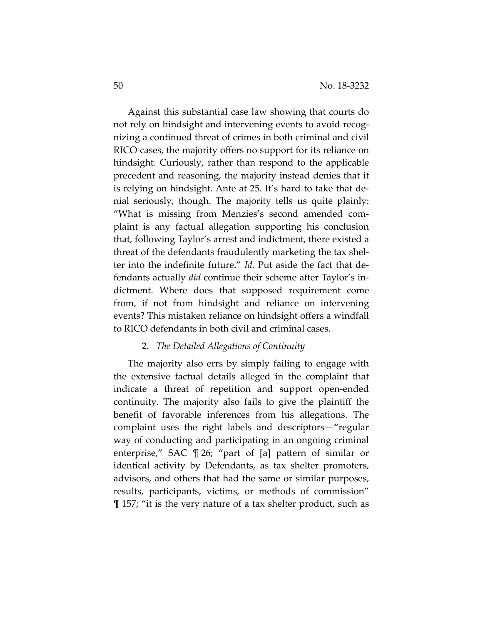Against this substantial case law showing that courts do not rely on hindsight and intervening events to avoid recognizing a continued threat of crimes in both criminal and civil RICO cases, the majority offers no support for its reliance on hindsight. Curiously, rather than respond to the applicable precedent and reasoning, the majority instead denies that it is relying on hindsight. Ante at 25. It's hard to take that denial seriously, though. The majority tells us quite plainly: "What is missing from Menzies's second amended complaint is any factual allegation supporting his conclusion that, following Taylor's arrest and indictment, there existed a threat of the defendants fraudulently marketing the tax shelter into the indefinite future." *Id*. Put aside the fact that defendants actually *did* continue their scheme after Taylor's indictment. Where does that supposed requirement come from, if not from hindsight and reliance on intervening events? This mistaken reliance on hindsight offers a windfall to RICO defendants in both civil and criminal cases.

## 2. *The Detailed Allegations of Continuity*

The majority also errs by simply failing to engage with the extensive factual details alleged in the complaint that indicate a threat of repetition and support open-ended continuity. The majority also fails to give the plaintiff the benefit of favorable inferences from his allegations. The complaint uses the right labels and descriptors—"regular way of conducting and participating in an ongoing criminal enterprise," SAC ¶ 26; "part of [a] pattern of similar or identical activity by Defendants, as tax shelter promoters, advisors, and others that had the same or similar purposes, results, participants, victims, or methods of commission" ¶ 157; "it is the very nature of a tax shelter product, such as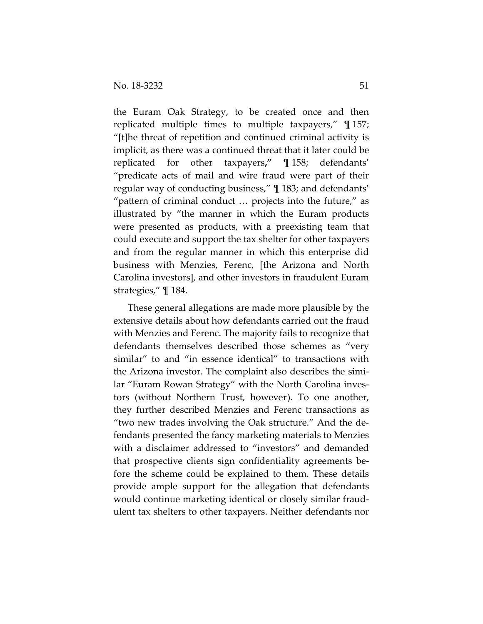the Euram Oak Strategy, to be created once and then replicated multiple times to multiple taxpayers," ¶ 157; "[t]he threat of repetition and continued criminal activity is implicit, as there was a continued threat that it later could be replicated for other taxpayers**,"** ¶ 158; defendants' "predicate acts of mail and wire fraud were part of their regular way of conducting business," ¶ 183; and defendants' "pattern of criminal conduct … projects into the future," as illustrated by "the manner in which the Euram products were presented as products, with a preexisting team that could execute and support the tax shelter for other taxpayers and from the regular manner in which this enterprise did business with Menzies, Ferenc, [the Arizona and North Carolina investors], and other investors in fraudulent Euram strategies," ¶ 184.

These general allegations are made more plausible by the extensive details about how defendants carried out the fraud with Menzies and Ferenc. The majority fails to recognize that defendants themselves described those schemes as "very similar" to and "in essence identical" to transactions with the Arizona investor. The complaint also describes the similar "Euram Rowan Strategy" with the North Carolina investors (without Northern Trust, however). To one another, they further described Menzies and Ferenc transactions as "two new trades involving the Oak structure." And the defendants presented the fancy marketing materials to Menzies with a disclaimer addressed to "investors" and demanded that prospective clients sign confidentiality agreements before the scheme could be explained to them. These details provide ample support for the allegation that defendants would continue marketing identical or closely similar fraudulent tax shelters to other taxpayers. Neither defendants nor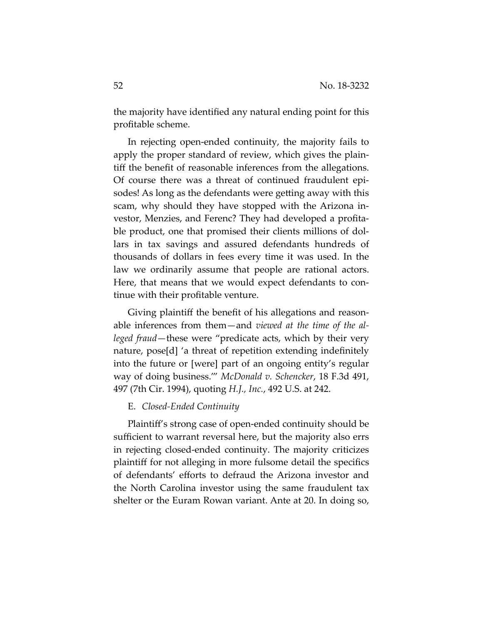the majority have identified any natural ending point for this profitable scheme.

In rejecting open-ended continuity, the majority fails to apply the proper standard of review, which gives the plaintiff the benefit of reasonable inferences from the allegations. Of course there was a threat of continued fraudulent episodes! As long as the defendants were getting away with this scam, why should they have stopped with the Arizona investor, Menzies, and Ferenc? They had developed a profitable product, one that promised their clients millions of dollars in tax savings and assured defendants hundreds of thousands of dollars in fees every time it was used. In the law we ordinarily assume that people are rational actors. Here, that means that we would expect defendants to continue with their profitable venture.

Giving plaintiff the benefit of his allegations and reasonable inferences from them—and *viewed at the time of the alleged fraud*—these were "predicate acts, which by their very nature, pose[d] 'a threat of repetition extending indefinitely into the future or [were] part of an ongoing entity's regular way of doing business.'" *McDonald v. Schencker*, 18 F.3d 491, 497 (7th Cir. 1994), quoting *H.J., Inc.*, 492 U.S. at 242.

#### E. *Closed-Ended Continuity*

Plaintiff's strong case of open-ended continuity should be sufficient to warrant reversal here, but the majority also errs in rejecting closed-ended continuity. The majority criticizes plaintiff for not alleging in more fulsome detail the specifics of defendants' efforts to defraud the Arizona investor and the North Carolina investor using the same fraudulent tax shelter or the Euram Rowan variant. Ante at 20. In doing so,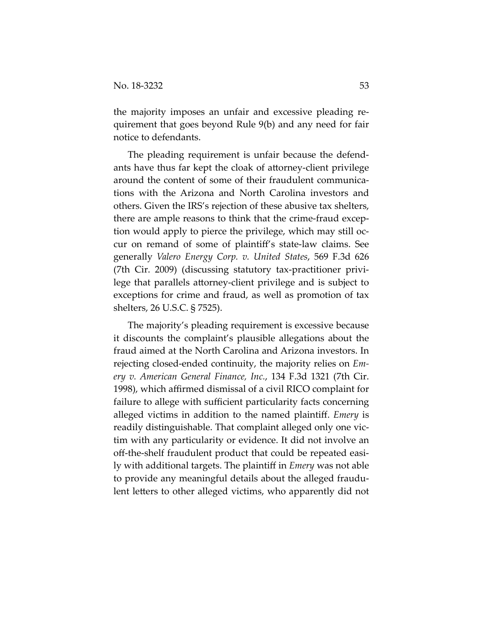the majority imposes an unfair and excessive pleading requirement that goes beyond Rule 9(b) and any need for fair notice to defendants.

The pleading requirement is unfair because the defendants have thus far kept the cloak of attorney-client privilege around the content of some of their fraudulent communications with the Arizona and North Carolina investors and others. Given the IRS's rejection of these abusive tax shelters, there are ample reasons to think that the crime-fraud exception would apply to pierce the privilege, which may still occur on remand of some of plaintiff's state-law claims. See generally *Valero Energy Corp. v. United States*, 569 F.3d 626 (7th Cir. 2009) (discussing statutory tax-practitioner privilege that parallels attorney-client privilege and is subject to exceptions for crime and fraud, as well as promotion of tax shelters, 26 U.S.C. § 7525).

The majority's pleading requirement is excessive because it discounts the complaint's plausible allegations about the fraud aimed at the North Carolina and Arizona investors. In rejecting closed-ended continuity, the majority relies on *Emery v. American General Finance, Inc.*, 134 F.3d 1321 (7th Cir. 1998), which affirmed dismissal of a civil RICO complaint for failure to allege with sufficient particularity facts concerning alleged victims in addition to the named plaintiff. *Emery* is readily distinguishable. That complaint alleged only one victim with any particularity or evidence. It did not involve an off-the-shelf fraudulent product that could be repeated easily with additional targets. The plaintiff in *Emery* was not able to provide any meaningful details about the alleged fraudulent letters to other alleged victims, who apparently did not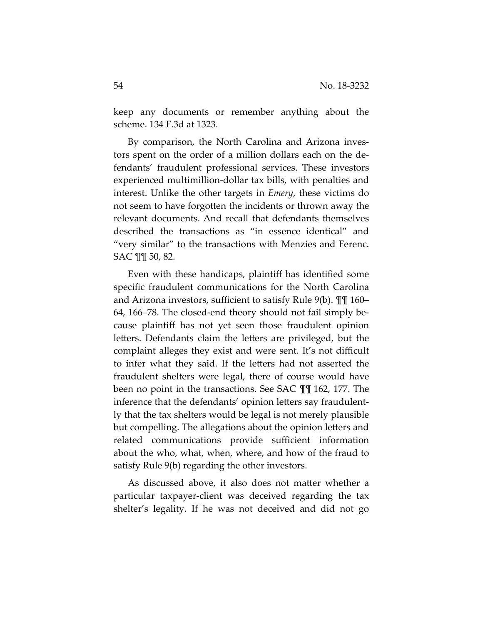keep any documents or remember anything about the scheme. 134 F.3d at 1323.

By comparison, the North Carolina and Arizona investors spent on the order of a million dollars each on the defendants' fraudulent professional services. These investors experienced multimillion-dollar tax bills, with penalties and interest. Unlike the other targets in *Emery*, these victims do not seem to have forgotten the incidents or thrown away the relevant documents. And recall that defendants themselves described the transactions as "in essence identical" and "very similar" to the transactions with Menzies and Ferenc. SAC ¶¶ 50, 82.

Even with these handicaps, plaintiff has identified some specific fraudulent communications for the North Carolina and Arizona investors, sufficient to satisfy Rule 9(b). ¶¶ 160– 64, 166–78. The closed-end theory should not fail simply because plaintiff has not yet seen those fraudulent opinion letters. Defendants claim the letters are privileged, but the complaint alleges they exist and were sent. It's not difficult to infer what they said. If the letters had not asserted the fraudulent shelters were legal, there of course would have been no point in the transactions. See SAC ¶¶ 162, 177. The inference that the defendants' opinion letters say fraudulently that the tax shelters would be legal is not merely plausible but compelling. The allegations about the opinion letters and related communications provide sufficient information about the who, what, when, where, and how of the fraud to satisfy Rule 9(b) regarding the other investors.

As discussed above, it also does not matter whether a particular taxpayer-client was deceived regarding the tax shelter's legality. If he was not deceived and did not go